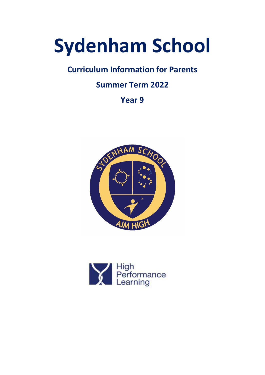# **Sydenham School**

# **Curriculum Information for Parents**

# **Summer Term 2022**

**Year 9**



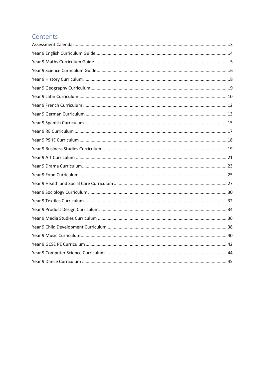# Contents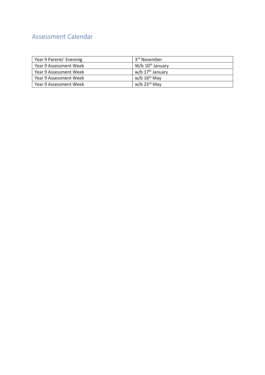# <span id="page-2-0"></span>Assessment Calendar

| Year 9 Parents' Eveninig | 3 <sup>rd</sup> November     |
|--------------------------|------------------------------|
| Year 9 Assessment Week   | W/b $10^{th}$ January        |
| Year 9 Assessment Week   | w/b 17 <sup>th</sup> January |
| Year 9 Assessment Week   | w/b $16th$ May               |
| Year 9 Assessment Week   | $w/b$ 23 <sup>rd</sup> May   |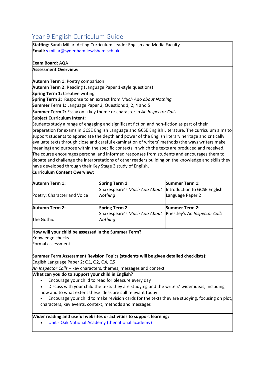# <span id="page-3-0"></span>Year 9 English Curriculum Guide

**Staffing:** Sarah Millar, Acting Curriculum Leader English and Media Faculty **Email: s**[.millar@sydenham.lewisham.sch.uk](mailto:s.millar@sydenham.lewisham.sch.uk)

### **Exam Board:** AQA

### **Assessment Overview:**

**Autumn Term 1:** Poetry comparison

**Autumn Term 2:** Reading (Language Paper 1-style questions)

**Spring Term 1:** Creative writing

**Spring Term 2:** Response to an extract from *Much Ado about Nothing*

**Summer Term 1:** Language Paper 2, Questions 1, 2, 4 and 5

**Summer Term 2:** Essay on a key theme or character in *An Inspector Calls*

### **Subject Curriculum Intent:**

Students study a range of engaging and significant fiction and non-fiction as part of their preparation for exams in GCSE English Language and GCSE English Literature. The curriculum aims to support students to appreciate the depth and power of the English literary heritage and critically evaluate texts through close and careful examination of writers' methods (the ways writers make meaning) and purpose within the specific contexts in which the texts are produced and received. The course encourages personal and informed responses from students and encourages them to debate and challenge the interpretations of other readers building on the knowledge and skills they have developed through their Key Stage 3 study of English.

#### **Curriculum Content Overview:**

| <b>Autumn Term 1:</b>       | <b>Spring Term 1:</b>        | <b>Summer Term 1:</b>          |
|-----------------------------|------------------------------|--------------------------------|
|                             | Shakespeare's Much Ado About | Introduction to GCSE English   |
| Poetry: Character and Voice | Nothing                      | Language Paper 2               |
|                             |                              |                                |
| <b>Autumn Term 2:</b>       | <b>Spring Term 2:</b>        | <b>Summer Term 2:</b>          |
|                             | Shakespeare's Much Ado About | Priestley's An Inspector Calls |
| The Gothic                  | Nothing                      |                                |

### **How will your child be assessed in the Summer Term?**

Knowledge checks

Formal assessment

**Summer Term Assessment Revision Topics (students will be given detailed checklists):** English Language Paper 2: Q1, Q2, Q4, Q5

*An Inspector Calls –* key characters, themes, messages and context

### **What can you do to support your child in English?**

- Encourage your child to read for pleasure every day
- Discuss with your child the texts they are studying and the writers' wider ideas, including how and to what extent these ideas are still relevant today
- Encourage your child to make revision cards for the texts they are studying, focusing on plot, characters, key events, context, methods and messages

### **Wider reading and useful websites or activities to support learning:**

• Unit - [Oak National Academy \(thenational.academy\)](https://classroom.thenational.academy/units/an-inspector-calls-923e)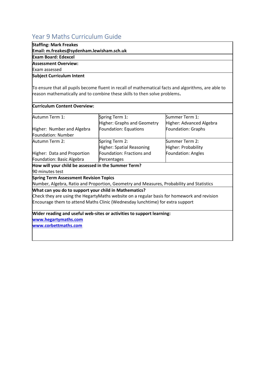# <span id="page-4-0"></span>Year 9 Maths Curriculum Guide

### **Staffing: Mark Freakes**

**Email: m.freakes@sydenham.lewisham.sch.uk**

### **Exam Board: Edexcel**

### **Assessment Overview:**

Exam assessed

### **Subject Curriculum Intent**

To ensure that all pupils become fluent in recall of mathematical facts and algorithms, are able to reason mathematically and to combine these skills to then solve problems**.**

### **Curriculum Content Overview:**

| Autumn Term 1:                                        | Spring Term 1:                                                                             | Summer Term 1:           |
|-------------------------------------------------------|--------------------------------------------------------------------------------------------|--------------------------|
|                                                       | <b>Higher: Graphs and Geometry</b>                                                         | Higher: Advanced Algebra |
| Higher: Number and Algebra                            | Foundation: Equations                                                                      | Foundation: Graphs       |
| Foundation: Number                                    |                                                                                            |                          |
| Autumn Term 2:                                        | Spring Term 2:                                                                             | Summer Term 2:           |
|                                                       | Higher: Spatial Reasoning                                                                  | Higher: Probability      |
| Higher: Data and Proportion                           | Foundation: Fractions and                                                                  | Foundation: Angles       |
| Foundation: Basic Algebra                             | Percentages                                                                                |                          |
| How will your child be assessed in the Summer Term?   |                                                                                            |                          |
| 90 minutes test                                       |                                                                                            |                          |
| <b>Spring Term Assessment Revision Topics</b>         |                                                                                            |                          |
|                                                       | Number, Algebra, Ratio and Proportion, Geometry and Measures, Probability and Statistics   |                          |
| What can you do to support your child in Mathematics? |                                                                                            |                          |
|                                                       | Check they are using the HegartyMaths website on a regular basis for homework and revision |                          |
|                                                       | Encourage them to attend Maths Clinic (Wednesday lunchtime) for extra support              |                          |
|                                                       | Wider reading and useful web-sites or activities to support learning:                      |                          |
| www.hegartymaths.com                                  |                                                                                            |                          |
| www.corbettmaths.com                                  |                                                                                            |                          |
|                                                       |                                                                                            |                          |
|                                                       |                                                                                            |                          |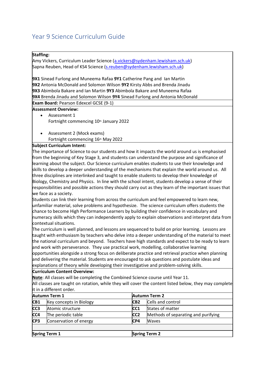# <span id="page-5-0"></span>Year 9 Science Curriculum Guide

### **Staffing:**

Amy Vickers, Curriculum Leader Science [\(a.vickers@sydenham.lewisham.sch.uk\)](mailto:a.vickers@sydenham.lewisham.sch.uk) Sapna Reuben, Head of KS4 Science [\(s.reuben@sydenham.lewisham.sch.uk\)](mailto:s.reuben@sydenham.lewisham.sch.uk)

**9X1** Sinead Furlong and Muneema Rafaa **9Y1** Catherine Pang and Ian Martin **9X2** Antonia McDonald and Solomon Wilson **9Y2** Kirsty Abbs and Brenda Jinadu **9X3** Abimbola Bakare and Ian Martin **9Y3** Abimbola Bakare and Muneema Rafaa **9X4** Brenda Jinadu and Solomon Wilson **9Y4** Sinead Furlong and Antonia McDonald

**Exam Board:** Pearson Edexcel GCSE (9-1)

- **Assessment Overview:** Assessment 1 Fortnight commencing 10<sup>th</sup> January 2022
	- Assessment 2 (Mock exams) Fortnight commencing 16<sup>th</sup> May 2022

### **Subject Curriculum Intent:**

The importance of Science to our students and how it impacts the world around us is emphasised from the beginning of Key Stage 3, and students can understand the purpose and significance of learning about the subject. Our Science curriculum enables students to use their knowledge and skills to develop a deeper understanding of the mechanisms that explain the world around us. All three disciplines are interlinked and taught to enable students to develop their knowledge of Biology, Chemistry and Physics. In line with the school intent, students develop a sense of their responsibilities and possible actions they should carry out as they learn of the important issues that we face as a society.

Students can link their learning from across the curriculum and feel empowered to learn new, unfamiliar material, solve problems and hypothesize. The science curriculum offers students the chance to become High Performance Learners by building their confidence in vocabulary and numeracy skills which they can independently apply to explain observations and interpret data from contextual situations.

The curriculum is well planned, and lessons are sequenced to build on prior learning. Lessons are taught with enthusiasm by teachers who delve into a deeper understanding of the material to meet the national curriculum and beyond. Teachers have high standards and expect to be ready to learn and work with perseverance. They use practical work, modelling, collaborative learning opportunities alongside a strong focus on deliberate practice and retrieval practice when planning and delivering the material. Students are encouraged to ask questions and postulate ideas and explanations of theory while developing their investigative and problem-solving skills.

#### **Curriculum Content Overview:**

**Note**: All classes will be completing the Combined Science course until Year 11.

All classes are taught on rotation, while they will cover the content listed below, they may complete it in a different order.

|                 | <b>Autumn Term 1</b>    |                  | <b>Autumn Term 2</b>                |  |
|-----------------|-------------------------|------------------|-------------------------------------|--|
| CB <sub>1</sub> | Key concepts in Biology | C <sub>B2</sub>  | Cells and control                   |  |
| CC <sub>3</sub> | Atomic structure        | ICC <sub>1</sub> | States of matter                    |  |
| CC4             | The periodic table      | ICC <sub>2</sub> | Methods of separating and purifying |  |
| CP <sub>3</sub> | Conservation of energy  | CP4              | Waves                               |  |
|                 |                         |                  |                                     |  |
|                 | <b>Spring Term 1</b>    |                  | <b>Spring Term 2</b>                |  |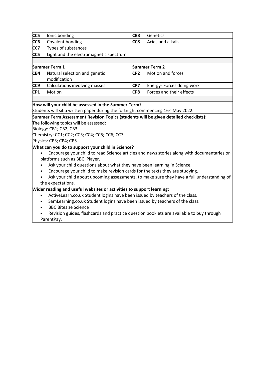| cc5             | lonic bonding                                 | CB <sub>3</sub> | <b>Genetics</b>           |
|-----------------|-----------------------------------------------|-----------------|---------------------------|
| CC <sub>6</sub> | Covalent bonding                              | CC8             | Acids and alkalis         |
| CC7             | Types of substances                           |                 |                           |
| CC <sub>5</sub> | Light and the electromagnetic spectrum        |                 |                           |
|                 |                                               |                 |                           |
|                 | <b>Summer Term 1</b>                          |                 | <b>Summer Term 2</b>      |
| CB4             |                                               |                 |                           |
|                 | Natural selection and genetic<br>modification | CP2             | Motion and forces         |
| CC <sub>9</sub> | Calculations involving masses                 | <b>CP7</b>      | Energy- Forces doing work |

#### **How will your child be assessed in the Summer Term?**

Students will sit a written paper during the fortnight commencing  $16<sup>th</sup>$  May 2022.

#### **Summer Term Assessment Revision Topics (students will be given detailed checklists):**

The following topics will be assessed:

Biology: CB1; CB2, CB3

Chemistry: CC1; CC2; CC3; CC4; CC5; CC6; CC7

### Physics: CP3; CP4; CP5

### **What can you do to support your child in Science?**

- Encourage your child to read Science articles and news stories along with documentaries on platforms such as BBC iPlayer.
- Ask your child questions about what they have been learning in Science.
- Encourage your child to make revision cards for the texts they are studying.
- Ask your child about upcoming assessments, to make sure they have a full understanding of the expectations.

### **Wider reading and useful websites or activities to support learning:**

- ActiveLearn.co.uk Student logins have been issued by teachers of the class.
- SamLearning.co.uk Student logins have been issued by teachers of the class.
- **BBC Bitesize Science**
- Revision guides, flashcards and practice question booklets are available to buy through ParentPay.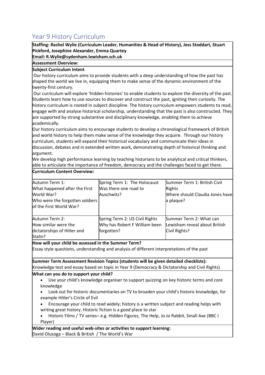# <span id="page-7-0"></span>Year 9 History Curriculum

**Staffing: Rachel Wylie (Curriculum Leader, Humanities & Head of History), Jess Stoddart, Stuart Pickford, Josephine Alexander, Emma Quartey**

**Email: R.Wylie@sydenham.lewisham.sch.uk**

### **Assessment Overview:**

### **Subject Curriculum Intent**

**Curriculum Content Overview:**

Our history curriculum aims to provide students with a deep understanding of how the past has shaped the world we live in, equipping them to make sense of the dynamic environment of the twenty-first century.

Our curriculum will explore 'hidden histories' to enable students to explore the diversity of the past. Students learn how to use sources to discover and construct the past, igniting their curiosity. The history curriculum is rooted in subject discipline. The history curriculum empowers students to read, engage with and analyse historical scholarship, understanding that the past is also constructed. They are supported by strong substantive and disciplinary knowledge, enabling them to achieve academically.

Our history curriculum aims to encourage students to develop a chronological framework of British and world history to help them make sense of the knowledge they acquire. Through our history curriculum, students will expand their historical vocabulary and communicate their ideas in discussion, debates and in extended written work, demonstrating depth of historical thinking and argument.

We develop high performance learning by teaching historians to be analytical and critical thinkers, able to articulate the importance of freedom, democracy and the challenges faced to get there.

| Autumn Term 1:                  | Spring Term 1: The Holocaust   | Summer Term 1: British Civil    |
|---------------------------------|--------------------------------|---------------------------------|
| What happened after the First   | Was there one road to          | Rights                          |
| World War?                      | Auschwitz?                     | Where should Claudia Jones have |
| Who were the forgotten soldiers |                                | a plaque?                       |
| of the First World War?         |                                |                                 |
|                                 |                                |                                 |
| Autumn Term 2:                  | Spring Term 2: US Civil Rights | Summer Term 2: What can         |
| How similar were the            | Why has Robert F William been  | Lewisham reveal about British   |
| dictatorships of Hitler and     | forgotten?                     | Civil Rights?                   |
| Stalin?                         |                                |                                 |

**How will your child be assessed in the Summer Term?**

Essay style questions, understanding and analysis of different interpretations of the past

**Summer Term Assessment Revision Topics (students will be given detailed checklists):** Knowledge test and essay based on topic in Year 9 (Democracy & Dictatorship and Civil Rights)

### **What can you do to support your child?**

- Use your child's knowledge organiser to support quizzing on key historic terms and core knowledge
- Look out for historic documentaries on TV to broaden your child's historic knowledge, for example Hitler's Circle of Evil
- Encourage your child to read widely; history is a written subject and reading helps with writing great history. Historic fiction is a good place to star

• Historic Films / TV series– e.g. Hidden Figures, The Help, Jo Jo Rabbit, Small Axe (BBC I Player)

**Wider reading and useful web-sites or activities to support learning:** David Olusoga – Black & British / The World's War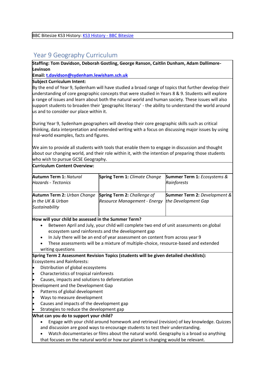BBC Bitesize KS3 History: [KS3 History -](https://www.bbc.co.uk/bitesize/subjects/zk26n39) BBC Bitesize

### <span id="page-8-0"></span>Year 9 Geography Curriculum

**Staffing: Tom Davidson, Deborah Gostling, George Ranson, Caitlin Dunham, Adam Dallimore-Levinson**

**Email[: t.davidson@sydenham.lewisham.sch.uk](mailto:t.davidson@sydenham.lewisham.sch.uk)**

### **Subject Curriculum Intent:**

By the end of Year 9, Sydenham will have studied a broad range of topics that further develop their understanding of core geographic concepts that were studied in Years 8 & 9. Students will explore a range of issues and learn about both the natural world and human society. These issues will also support students to broaden their 'geographic literacy' - the ability to understand the world around us and to consider our place within it. 

During Year 9, Sydenham geographers will develop their core geographic skills such as critical thinking, data interpretation and extended writing with a focus on discussing major issues by using real-world examples, facts and figures. 

We aim to provide all students with tools that enable them to engage in discussion and thought about our changing world, and their role within it, with the intention of preparing those students who wish to pursue GCSE Geography. 

**Curriculum Content Overview:**

| Autumn Term 1: Natural<br><b>Hazards - Tectonics</b>               | <b>Spring Term 1: Climate Change</b>                               | <b>Summer Term 1:</b> Ecosystems &<br>Rainforests              |
|--------------------------------------------------------------------|--------------------------------------------------------------------|----------------------------------------------------------------|
| Autumn Term 2: Urban Change<br>in the UK & Urban<br>Sustainability | <b>Spring Term 2: Challenge of</b><br>Resource Management - Energy | <b>Summer Term 2: Development &amp;</b><br>the Development Gap |

### **How will your child be assessed in the Summer Term?**

- Between April and July, your child will complete two end of unit assessments on global ecosystem sand rainforests and the development gap
- In July there will be an end of year assessment on content from across year 9
- These assessments will be a mixture of multiple-choice, resource-based and extended writing questions

**Spring Term 2 Assessment Revision Topics (students will be given detailed checklists):** Ecosystems and Rainforests:

- Distribution of global ecosystems
- Characteristics of tropical rainforests
- Causes, impacts and solutions to deforestation

Development and the Development Gap

- Patterns of global development
- Ways to measure development
- Causes and impacts of the development gap
- Strategies to reduce the development gap

### **What can you do to support your child?**

- Engage with your child around homework and retrieval (revision) of key knowledge. Quizzes and discussion are good ways to encourage students to test their understanding.
- Watch documentaries or films about the natural world. Geography is a broad so anything that focuses on the natural world or how our planet is changing would be relevant.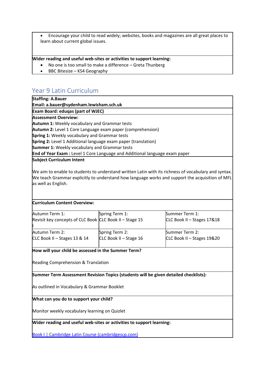• Encourage your child to read widely; websites, books and magazines are all great places to learn about current global issues. 

**Wider reading and useful web-sites or activities to support learning:**

- No one is too small to make a difference Greta Thunberg
- BBC Bitesize KS4 Geography

# <span id="page-9-0"></span>Year 9 Latin Curriculum

| <b>Staffing: A.Bauer</b>                                                          |
|-----------------------------------------------------------------------------------|
| Email: a.bauer@sydenham.lewisham.sch.uk                                           |
| <b>Exam Board: edugas (part of WJEC)</b>                                          |
| <b>Assessment Overview:</b>                                                       |
| <b>Autumn 1: Weekly vocabulary and Grammar tests</b>                              |
| Autumn 2: Level 1 Core Language exam paper (comprehension)                        |
| <b>Spring 1:</b> Weekly vocabulary and Grammar tests                              |
| Spring 2: Level 1 Additional language exam paper (translation)                    |
| <b>Summer 1:</b> Weekly vocabulary and Grammar tests                              |
| <b>End of Year Exam:</b> Level 1 Core Language and Additional language exam paper |
| <b>Subject Curriculum Intent</b>                                                  |
|                                                                                   |

We aim to enable to students to understand written Latin with its richness of vocabulary and syntax. We teach Grammar explicitly to understand how language works and support the acquisition of MFL as well as English.

### **Curriculum Content Overview:**

| Autumn Term 1:                                          | Spring Term 1:         | Summer Term 1:             |
|---------------------------------------------------------|------------------------|----------------------------|
| Revisit key concepts of CLC Book CLC Book II - Stage 15 |                        | CLC Book II - Stages 17&18 |
|                                                         |                        |                            |
| Autumn Term 2:                                          | Spring Term 2:         | Summer Term 2:             |
| CLC Book II - Stages 13 & 14                            | CLC Book II - Stage 16 | CLC Book II - Stages 19&20 |
|                                                         |                        |                            |

### **How will your child be assessed in the Summer Term?**

Reading Comprehension & Translation

**Summer Term Assessment Revision Topics (students will be given detailed checklists):**

As outlined in Vocabulary & Grammar Booklet

#### **What can you do to support your child?**

Monitor weekly vocabulary learning on Quizlet

**Wider reading and useful web-sites or activities to support learning:**

[Book I | Cambridge Latin Course \(cambridgescp.com\)](https://www.clc.cambridgescp.com/books/book-i)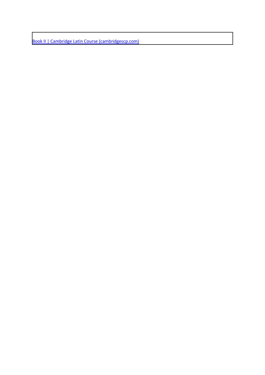[Book II | Cambridge Latin Course \(cambridgescp.com\)](https://www.clc.cambridgescp.com/books/book-ii)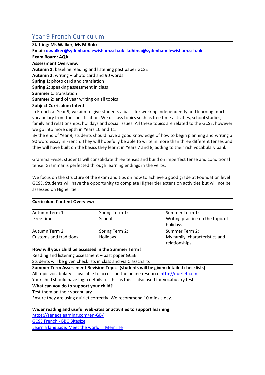# <span id="page-11-0"></span>Year 9 French Curriculum

### **Staffing: Ms Walker, Ms M'Bolo**

**Email[: d.walker@sydenham.lewisham.sch.uk](mailto:d.walker@sydenham.lewisham.sch.uk) [l.dhima@sydenham.lewisham.sch.uk](mailto:l.dhima@sydenham.lewisham.sch.uk)**

### **Exam Board: AQA**

### **Assessment Overview:**

**Autumn 1:** baseline reading and listening past paper GCSE

**Autumn 2:** writing – photo card and 90 words

**Spring 1:** photo card and translation

**Spring 2:** speaking assessment in class

**Summer 1:** translation

**Summer 2:** end of year writing on all topics

### **Subject Curriculum Intent**

In French at Year 9, we aim to give students a basis for working independently and learning much vocabulary from the specification. We discuss topics such as free time activities, school studies, family and relationships, holidays and social issues. All these topics are related to the GCSE, however we go into more depth in Years 10 and 11.

By the end of Year 9, students should have a good knowledge of how to begin planning and writing a 90 word essay in French. They will hopefully be able to write in more than three different tenses and they will have built on the basics they learnt in Years 7 and 8, adding to their rich vocabulary bank.

Grammar-wise, students will consolidate three tenses and build on imperfect tense and conditional tense. Grammar is perfected through learning endings in the verbs.

We focus on the structure of the exam and tips on how to achieve a good grade at Foundation level GCSE. Students will have the opportunity to complete Higher tier extension activities but will not be assessed on Higher tier.

### **Curriculum Content Overview:**

| Autumn Term 1:                                      | Spring Term 1:                                                                          | Summer Term 1:                                                                       |
|-----------------------------------------------------|-----------------------------------------------------------------------------------------|--------------------------------------------------------------------------------------|
| Free time                                           | School                                                                                  | Writing practice on the topic of                                                     |
|                                                     |                                                                                         | holidays                                                                             |
| Autumn Term 2:                                      | Spring Term 2:                                                                          | Summer Term 2:                                                                       |
| <b>Customs and traditions</b>                       | <b>Holidays</b>                                                                         | My family, characteristics and                                                       |
|                                                     |                                                                                         | relationships                                                                        |
| How will your child be assessed in the Summer Term? |                                                                                         |                                                                                      |
| Reading and listening assessment – past paper GCSE  |                                                                                         |                                                                                      |
|                                                     | Students will be given checklists in class and via Classcharts                          |                                                                                      |
|                                                     |                                                                                         | Summer Term Assessment Revision Topics (students will be given detailed checklists): |
|                                                     | All topic vocabulary is available to access on the online resource http://quizlet.com   |                                                                                      |
|                                                     | Your child should have login details for this as this is also used for vocabulary tests |                                                                                      |
| What can you do to support your child?              |                                                                                         |                                                                                      |
| Test them on their vocabulary                       |                                                                                         |                                                                                      |
|                                                     | Ensure they are using quizlet correctly. We recommend 10 mins a day.                    |                                                                                      |
|                                                     | Wider reading and useful web-sites or activities to support learning:                   |                                                                                      |
| https://senecalearning.com/en-GB/                   |                                                                                         |                                                                                      |
| <b>GCSE French - BBC Bitesize</b>                   |                                                                                         |                                                                                      |
| Learn a language. Meet the world.   Memrise         |                                                                                         |                                                                                      |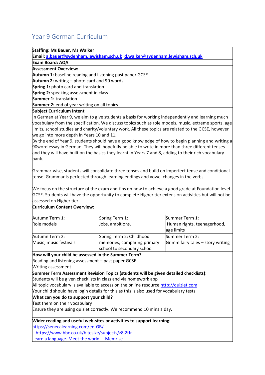# <span id="page-12-0"></span>Year 9 German Curriculum

### **Staffing: Ms Bauer, Ms Walker**

**Email[: a.bauer@sydenham.lewisham.sch.uk](mailto:a.bauer@sydenham.lewisham.sch.uk) [d.walker@sydenham.lewisham.sch.uk](mailto:d.walker@sydenham.lewisham.sch.uk)**

| <b>Exam Board: AQA</b>                                                                           |
|--------------------------------------------------------------------------------------------------|
| <b>Assessment Overview:</b>                                                                      |
| <b>Autumn 1:</b> baseline reading and listening past paper GCSE                                  |
| <b>Autumn 2:</b> writing – photo card and 90 words                                               |
| <b>Spring 1: photo card and translation</b>                                                      |
| <b>Spring 2:</b> speaking assessment in class                                                    |
| <b>Summer 1: translation</b>                                                                     |
| Summer 2: end of year writing on all topics                                                      |
| <b>Subject Curriculum Intent</b>                                                                 |
| In German at Year 9, we aim to give students a basis for working independently and learning much |

vocabulary from the specification. We discuss topics such as role models, music, extreme sports, age limits, school studies and charity/voluntary work. All these topics are related to the GCSE, however we go into more depth in Years 10 and 11.

By the end of Year 9, students should have a good knowledge of how to begin planning and writing a 90word essay in German. They will hopefully be able to write in more than three different tenses and they will have built on the basics they learnt in Years 7 and 8, adding to their rich vocabulary bank.

Grammar-wise, students will consolidate three tenses and build on imperfect tense and conditional tense. Grammar is perfected through learning endings and vowel changes in the verbs.

We focus on the structure of the exam and tips on how to achieve a good grade at Foundation level GCSE. Students will have the opportunity to complete Higher tier extension activities but will not be assessed on Higher tier.

| <b>Curriculum Content Overview:</b>                 |                                                                                         |                                   |
|-----------------------------------------------------|-----------------------------------------------------------------------------------------|-----------------------------------|
| Autumn Term 1:                                      | Spring Term 1:                                                                          | Summer Term 1:                    |
| Role models                                         | Jobs, ambitions,                                                                        | Human rights, teenagerhood,       |
|                                                     |                                                                                         | age limits                        |
| Autumn Term 2:                                      | Spring Term 2: Childhood                                                                | Summer Term 2:                    |
| Music, music festivals                              | memories, comparing primary                                                             | Grimm fairy tales - story writing |
|                                                     | school to secondary school                                                              |                                   |
| How will your child be assessed in the Summer Term? |                                                                                         |                                   |
| Reading and listening assessment - past paper GCSE  |                                                                                         |                                   |
| Writing assessment                                  |                                                                                         |                                   |
|                                                     | Summer Term Assessment Revision Topics (students will be given detailed checklists):    |                                   |
|                                                     | Students will be given checklists in class and via homework app                         |                                   |
|                                                     | All topic vocabulary is available to access on the online resource http://quizlet.com   |                                   |
|                                                     | Your child should have login details for this as this is also used for vocabulary tests |                                   |
| What can you do to support your child?              |                                                                                         |                                   |
| Test them on their vocabulary                       |                                                                                         |                                   |
|                                                     | Ensure they are using quizlet correctly. We recommend 10 mins a day.                    |                                   |
|                                                     | Wider reading and useful web-sites or activities to support learning:                   |                                   |
| https://senecalearning.com/en-GB/                   |                                                                                         |                                   |
| https://www.bbc.co.uk/bitesize/subjects/z8j2tfr     |                                                                                         |                                   |
| Learn a language. Meet the world.   Memrise         |                                                                                         |                                   |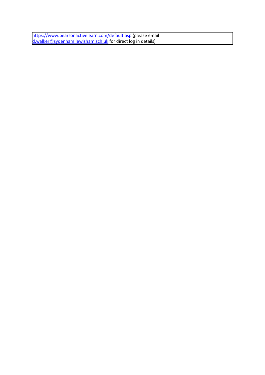<https://www.pearsonactivelearn.com/default.asp> (please email [d.walker@sydenham.lewisham.sch.uk](mailto:d.walker@sydenham.lewisham.sch.uk) for direct log in details)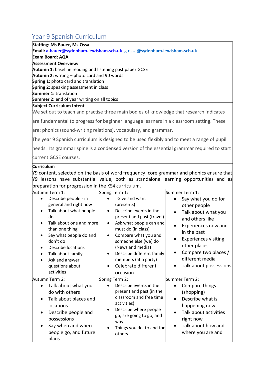# <span id="page-14-0"></span>Year 9 Spanish Curriculum

### **Staffing: Ms Bauer, Ms Ossa**

**Email[: a.bauer@sydenham.lewisham.sch.uk](mailto:a.bauer@sydenham.lewisham.sch.uk)** g.ossa**[@sydenham.lewisham.sch.uk](mailto:g.ossa@sydenham.lewisham.sch.uk)**

### **Exam Board: AQA**

### **Assessment Overview:**

- **Autumn 1:** baseline reading and listening past paper GCSE
- **Autumn 2:** writing photo card and 90 words
- **Spring 1:** photo card and translation
- **Spring 2:** speaking assessment in class
- **Summer 1:** translation
- **Summer 2:** end of year writing on all topics

### **Subject Curriculum Intent**

We set out to teach and practise three main bodies of knowledge that research indicates

are fundamental to progress for beginner language learners in a classroom setting. These

are: phonics (sound-writing relations), vocabulary, and grammar.

The year 9 Spanish curriculum is designed to be used flexibly and to meet a range of pupil

needs. Its grammar spine is a condensed version of the essential grammar required to start current GCSE courses.

### **Curriculum**

 $\gamma$ 9 content, selected on the basis of word frequency, core grammar and phonics ensure that Y9 lessons have substantial value, both as standalone learning opportunities and as preparation for progression in the KS4 curriculum.

| Autumn Term 1:<br>Describe people - in<br>general and right now<br>Talk about what people<br>do<br>Talk about one and more<br>than one thing<br>Say what people do and<br>don't do<br>Describe locations<br>$\bullet$<br>Talk about family<br>$\bullet$<br>Ask and answer<br>questions about<br>activities | Spring Term 1:<br>Give and want<br>(presents)<br>Describe events in the<br>present and past (travel)<br>Ask what people can and<br>must do (in class)<br>Compare what you and<br>someone else (we) do<br>(News and media)<br>Describe different family<br>members (at a party)<br>Celebrate different<br>occasion | Summer Term 1:<br>Say what you do for<br>other people<br>Talk about what you<br>and others like<br>Experiences now and<br>in the past<br><b>Experiences visiting</b><br>other places<br>Compare two places /<br>different media<br>Talk about possessions |
|------------------------------------------------------------------------------------------------------------------------------------------------------------------------------------------------------------------------------------------------------------------------------------------------------------|-------------------------------------------------------------------------------------------------------------------------------------------------------------------------------------------------------------------------------------------------------------------------------------------------------------------|-----------------------------------------------------------------------------------------------------------------------------------------------------------------------------------------------------------------------------------------------------------|
| Autumn Term 2:<br>Talk about what you<br>do with others<br>Talk about places and<br>٠<br>locations<br>Describe people and<br>$\bullet$<br>possessions<br>Say when and where<br>people go, and future<br>plans                                                                                              | Spring Term 2:<br>Describe events in the<br>present and past (in the<br>classroom and free time<br>activities)<br>Describe where people<br>go, are going to go, and<br>why<br>Things you do, to and for<br>others                                                                                                 | Summer Term 2:<br>Compare things<br>(shopping)<br>Describe what is<br>happening now<br>Talk about activities<br>right now<br>Talk about how and<br>where you are and                                                                                      |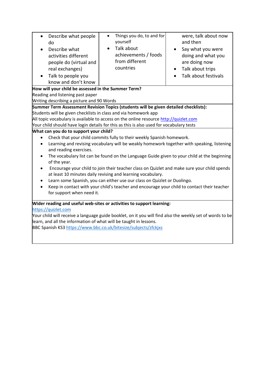| Describe what people<br>do<br>Describe what<br>activities different<br>people do (virtual and<br>real exchanges)<br>Talk to people you                                                                                                                                                                                                                                                                                                                                                                                                                                                                                                                                                                                                                                                                                                                                 | Things you do, to and for<br>$\bullet$<br>yourself<br>Talk about<br>$\bullet$<br>achievements / foods<br>from different<br>countries                                                                                                             | were, talk about now<br>and then<br>Say what you were<br>doing and what you<br>are doing now<br>Talk about trips<br>Talk about festivals |
|------------------------------------------------------------------------------------------------------------------------------------------------------------------------------------------------------------------------------------------------------------------------------------------------------------------------------------------------------------------------------------------------------------------------------------------------------------------------------------------------------------------------------------------------------------------------------------------------------------------------------------------------------------------------------------------------------------------------------------------------------------------------------------------------------------------------------------------------------------------------|--------------------------------------------------------------------------------------------------------------------------------------------------------------------------------------------------------------------------------------------------|------------------------------------------------------------------------------------------------------------------------------------------|
| know and don't know                                                                                                                                                                                                                                                                                                                                                                                                                                                                                                                                                                                                                                                                                                                                                                                                                                                    |                                                                                                                                                                                                                                                  |                                                                                                                                          |
| How will your child be assessed in the Summer Term?                                                                                                                                                                                                                                                                                                                                                                                                                                                                                                                                                                                                                                                                                                                                                                                                                    |                                                                                                                                                                                                                                                  |                                                                                                                                          |
| Reading and listening past paper                                                                                                                                                                                                                                                                                                                                                                                                                                                                                                                                                                                                                                                                                                                                                                                                                                       |                                                                                                                                                                                                                                                  |                                                                                                                                          |
| Writing describing a picture and 90 Words                                                                                                                                                                                                                                                                                                                                                                                                                                                                                                                                                                                                                                                                                                                                                                                                                              |                                                                                                                                                                                                                                                  |                                                                                                                                          |
|                                                                                                                                                                                                                                                                                                                                                                                                                                                                                                                                                                                                                                                                                                                                                                                                                                                                        | Summer Term Assessment Revision Topics (students will be given detailed checklists):                                                                                                                                                             |                                                                                                                                          |
|                                                                                                                                                                                                                                                                                                                                                                                                                                                                                                                                                                                                                                                                                                                                                                                                                                                                        | Students will be given checklists in class and via homework app                                                                                                                                                                                  |                                                                                                                                          |
|                                                                                                                                                                                                                                                                                                                                                                                                                                                                                                                                                                                                                                                                                                                                                                                                                                                                        | All topic vocabulary is available to access on the online resource http://quizlet.com                                                                                                                                                            |                                                                                                                                          |
|                                                                                                                                                                                                                                                                                                                                                                                                                                                                                                                                                                                                                                                                                                                                                                                                                                                                        | Your child should have login details for this as this is also used for vocabulary tests                                                                                                                                                          |                                                                                                                                          |
| What can you do to support your child?<br>Check that your child commits fully to their weekly Spanish homework.<br>$\bullet$<br>Learning and revising vocabulary will be weakly homework together with speaking, listening<br>$\bullet$<br>and reading exercises.<br>The vocabulary list can be found on the Language Guide given to your child at the beginning<br>$\bullet$<br>of the year.<br>Encourage your child to join their teacher class on Quizlet and make sure your child spends<br>$\bullet$<br>at least 10 minutes daily revising and learning vocabulary.<br>Learn some Spanish, you can either use our class on Quizlet or Duolingo.<br>$\bullet$<br>Keep in contact with your child's teacher and encourage your child to contact their teacher<br>for support when need it.<br>Wider reading and useful web-sites or activities to support learning: |                                                                                                                                                                                                                                                  |                                                                                                                                          |
| https://quizlet.com                                                                                                                                                                                                                                                                                                                                                                                                                                                                                                                                                                                                                                                                                                                                                                                                                                                    | Your child will receive a language guide booklet, on it you will find also the weekly set of words to be<br>learn, and all the information of what will be taught in lessons.<br>BBC Spanish KS3 https://www.bbc.co.uk/bitesize/subjects/zfckjxs |                                                                                                                                          |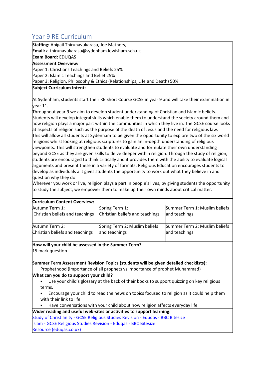# <span id="page-16-0"></span>Year 9 RE Curriculum

**Staffing:** Abigail Thirunavukarasu, Joe Mathers,

**Email:** a.thirunavukarasu@sydenham.lewisham.sch.uk

**Exam Board:** EDUQAS

### **Assessment Overview:**

Paper 1: Christians Teachings and Beliefs 25%

Paper 2: Islamic Teachings and Belief 25%

Paper 3: Religion, Philosophy & Ethics (Relationships, Life and Death) 50%

### **Subject Curriculum Intent:**

At Sydenham, students start their RE Short Course GCSE in year 9 and will take their examination in year 11.

Throughout year 9 we aim to develop student understanding of Christian and Islamic beliefs. Students will develop integral skills which enable them to understand the society around them and how religion plays a major part within the communities in which they live in. The GCSE course looks at aspects of religion such as the purpose of the death of Jesus and the need for religious law. This will allow all students at Sydenham to be given the opportunity to explore two of the six world religions whilst looking at religious scriptures to gain an in-depth understanding of religious viewpoints. This will strengthen students to evaluate and formulate their own understanding beyond GCSE as they are given skills to delve deeper within religion. Through the study of religion, students are encouraged to think critically and it provides them with the ability to evaluate logical arguments and present these in a variety of formats. Religious Education encourages students to develop as individuals a it gives students the opportunity to work out what they believe in and question why they do.

Wherever you work or live, religion plays a part in people's lives, by giving students the opportunity to study the subject, we empower them to make up their own minds about critical matter.

| <b>Curriculum Content Overview:</b> |                                 |                               |
|-------------------------------------|---------------------------------|-------------------------------|
| Autumn Term 1:                      | Spring Term 1:                  | Summer Term 1: Muslim beliefs |
| Christian beliefs and teachings     | Christian beliefs and teachings | and teachings                 |
| Autumn Term 2:                      | Spring Term 2: Muslim beliefs   | Summer Term 2: Muslim beliefs |
| Christian beliefs and teachings     | and teachings                   | and teachings                 |

### **How will your child be assessed in the Summer Term?** 15 mark question

**Summer Term Assessment Revision Topics (students will be given detailed checklists):** Prophethood (importance of all prophets vs importance of prophet Muhammad)

### **What can you do to support your child?**

• Use your child's glossary at the back of their books to support quizzing on key religious terms.

• Encourage your child to read the news on topics focused to religion as it could help them with their link to life

• Have conversations with your child about how religion affects everyday life.

**Wider reading and useful web-sites or activities to support learning:**

Study of Christianity - [GCSE Religious Studies Revision -](https://www.bbc.co.uk/bitesize/topics/zryqbdm) Eduqas - BBC Bitesize

Islam - [GCSE Religious Studies Revision -](https://www.bbc.co.uk/bitesize/topics/z78sjhv) Eduqas - BBC Bitesize

[Resource \(eduqas.co.uk\)](https://resources.eduqas.co.uk/Pages/ResourceSingle.aspx?rIid=1600)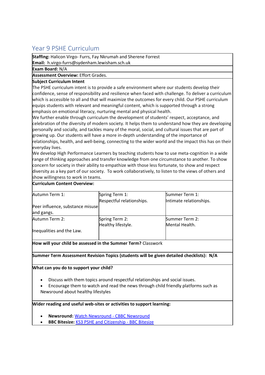# <span id="page-17-0"></span>Year 9 PSHE Curriculum

**Staffing:** Halicon Virgo- Furrs, Fay Nkrumah and Sherene Forrest

**Email:** h.virgo-furrs@sydenham.lewisham.sch.uk

**Exam Board:** N/A

### **Assessment Overview:** Effort Grades.

### **Subject Curriculum Intent**

The PSHE curriculum intent is to provide a safe environment where our students develop their confidence, sense of responsibility and resilience when faced with challenge. To deliver a curriculum which is accessible to all and that will maximize the outcomes for every child. Our PSHE curriculum equips students with relevant and meaningful content, which is supported through a strong emphasis on emotional literacy, nurturing mental and physical health.

We further enable through curriculum the development of students' respect, acceptance, and celebration of the diversity of modern society. It helps them to understand how they are developing personally and socially, and tackles many of the moral, social, and cultural issues that are part of growing up. Our students will have a more in-depth understanding of the importance of relationships, health, and well-being, connecting to the wider world and the impact this has on their everyday lives.

We develop High Performance Learners by teaching students how to use meta-cognition in a wide range of thinking approaches and transfer knowledge from one circumstance to another. To show concern for society in their ability to empathize with those less fortunate, to show and respect diversity as a key part of our society. To work collaboratively, to listen to the views of others and show willingness to work in teams.

### **Curriculum Content Overview:**

| Autumn Term 1:                   | Spring Term 1:            | Summer Term 1:          |
|----------------------------------|---------------------------|-------------------------|
|                                  | Respectful relationships. | Intimate relationships. |
| Peer influence, substance misuse |                           |                         |
| and gangs.                       |                           |                         |
| Autumn Term 2:                   | Spring Term 2:            | Summer Term 2:          |
|                                  | Healthy lifestyle.        | Mental Health.          |
| Inequalities and the Law.        |                           |                         |

**How will your child be assessed in the Summer Term?** Classwork

### **Summer Term Assessment Revision Topics (students will be given detailed checklists): N/A**

#### **What can you do to support your child?**

- Discuss with them topics around respectful relationships and social issues.
- Encourage them to watch and read the news through child friendly platforms such as Newsround about healthy lifestyles

#### **Wider reading and useful web-sites or activities to support learning:**

- **Newsround:** [Watch Newsround -](https://www.bbc.co.uk/newsround/news/watch_newsround) CBBC Newsround
- **BBC Bitesize:** [KS3 PSHE and Citizenship -](https://www.bbc.co.uk/bitesize/subjects/ztvg9j6) BBC Bitesize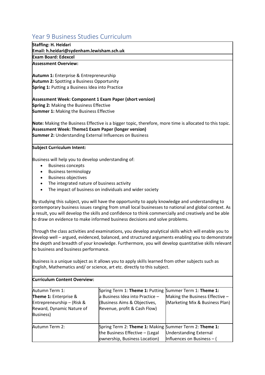# <span id="page-18-0"></span>Year 9 Business Studies Curriculum

| Staffing: H. Heidari                      |
|-------------------------------------------|
| Email: h.heidari@sydenham.lewisham.sch.uk |
| Exam Board: Edexcel                       |

**Assessment Overview:**

**Autumn 1:**Enterprise & Entrepreneurship **Autumn 2:**Spotting a Business Opportunity **Spring 1:**Putting a Business Idea into Practice

**Assessment Week: Component 1 Exam Paper (short version) Spring 2:**Making the Business Effective  **Summer 1:**Making the Business Effective 

**Note:** Making the Business Effective is a bigger topic, therefore, more time is allocated to this topic. **Assessment Week: Theme1 Exam Paper (longer version)**

**Summer 2:**Understanding External Influences on Business

### **Subject Curriculum Intent:**

Business will help you to develop understanding of:

- Business concepts
- Business terminology
- Business objectives
- The integrated nature of business activity
- The impact of business on individuals and wider society

By studying this subject, you will have the opportunity to apply knowledge and understanding to contemporary business issues ranging from small local businesses to national and global context. As a result, you will develop the skills and confidence to think commercially and creatively and be able to draw on evidence to make informed business decisions and solve problems.

Through the class activities and examinations, you develop analytical skills which will enable you to develop well – argued, evidenced, balanced, and structured arguments enabling you to demonstrate the depth and breadth of your knowledge. Furthermore, you will develop quantitative skills relevant to business and business performance.

Business is a unique subject as it allows you to apply skills learned from other subjects such as English, Mathematics and/ or science, art etc. directly to this subject.

| <b>Curriculum Content Overview:</b>                                                                             |                                                                                                                                                            |                                                                    |
|-----------------------------------------------------------------------------------------------------------------|------------------------------------------------------------------------------------------------------------------------------------------------------------|--------------------------------------------------------------------|
| Autumn Term 1:<br>Theme 1: Enterprise &<br>Entrepreneurship - (Risk &<br>Reward, Dynamic Nature of<br>Business) | Spring Term 1: Theme 1: Putting Summer Term 1: Theme 1:<br>a Business Idea into Practice -<br>(Business Aims & Objectives,<br>Revenue, profit & Cash Flow) | Making the Business Effective -<br>(Marketing Mix & Business Plan) |
| Autumn Term 2:                                                                                                  | Spring Term 2: Theme 1: Making Summer Term 2: Theme 1:<br>the Business Effective - (Legal<br>ownership, Business Location)                                 | <b>Understanding External</b><br>Influences on Business - (        |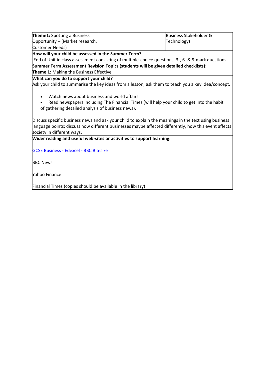| Theme1: Spotting a Business                                                                                                                                                                                                                                                                                                                                                                                                                 |                                                                                                    | <b>Business Stakeholder &amp;</b> |
|---------------------------------------------------------------------------------------------------------------------------------------------------------------------------------------------------------------------------------------------------------------------------------------------------------------------------------------------------------------------------------------------------------------------------------------------|----------------------------------------------------------------------------------------------------|-----------------------------------|
| Opportunity - (Market research,                                                                                                                                                                                                                                                                                                                                                                                                             |                                                                                                    | Technology)                       |
| <b>Customer Needs)</b>                                                                                                                                                                                                                                                                                                                                                                                                                      |                                                                                                    |                                   |
| How will your child be assessed in the Summer Term?                                                                                                                                                                                                                                                                                                                                                                                         |                                                                                                    |                                   |
|                                                                                                                                                                                                                                                                                                                                                                                                                                             | End of Unit in class assessment consisting of multiple-choice questions, 3-, 6- & 9-mark questions |                                   |
|                                                                                                                                                                                                                                                                                                                                                                                                                                             | Summer Term Assessment Revision Topics (students will be given detailed checklists):               |                                   |
| Theme 1: Making the Business Effective                                                                                                                                                                                                                                                                                                                                                                                                      |                                                                                                    |                                   |
| What can you do to support your child?                                                                                                                                                                                                                                                                                                                                                                                                      |                                                                                                    |                                   |
|                                                                                                                                                                                                                                                                                                                                                                                                                                             | Ask your child to summarise the key ideas from a lesson; ask them to teach you a key idea/concept. |                                   |
| Watch news about business and world affairs<br>Read newspapers including The Financial Times (will help your child to get into the habit<br>of gathering detailed analysis of business news).<br>Discuss specific business news and ask your child to explain the meanings in the text using business<br>language points; discuss how different businesses maybe affected differently, how this event affects<br>society in different ways. |                                                                                                    |                                   |
| Wider reading and useful web-sites or activities to support learning:                                                                                                                                                                                                                                                                                                                                                                       |                                                                                                    |                                   |
| <b>GCSE Business - Edexcel - BBC Bitesize</b>                                                                                                                                                                                                                                                                                                                                                                                               |                                                                                                    |                                   |
| <b>BBC News</b>                                                                                                                                                                                                                                                                                                                                                                                                                             |                                                                                                    |                                   |
|                                                                                                                                                                                                                                                                                                                                                                                                                                             |                                                                                                    |                                   |
| <b>Yahoo Finance</b>                                                                                                                                                                                                                                                                                                                                                                                                                        |                                                                                                    |                                   |
|                                                                                                                                                                                                                                                                                                                                                                                                                                             |                                                                                                    |                                   |
| Financial Times (copies should be available in the library)                                                                                                                                                                                                                                                                                                                                                                                 |                                                                                                    |                                   |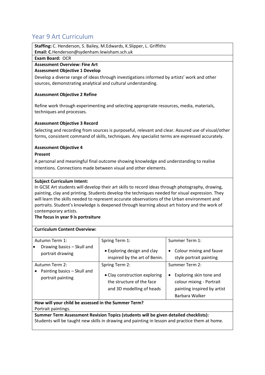# <span id="page-20-0"></span>Year 9 Art Curriculum

**Staffing:** C. Henderson, S. Bailey, M.Edwards, K.Slipper, L. Griffiths **Email: C**.Henderson@sydenham.lewisham.sch.uk

#### **Exam Board:** OCR

### **Assessment Overview: Fine Art**

### **Assessment Objective 1 Develop**

Develop a diverse range of ideas through investigations informed by artists' work and other sources, demonstrating analytical and cultural understanding.

### **Assessment Objective 2 Refine**

Refine work through experimenting and selecting appropriate resources, media, materials, techniques and processes.

### **Assessment Objective 3 Record**

Selecting and recording from sources is purposeful, relevant and clear. Assured use of visual/other forms, consistent command of skills, techniques. Any specialist terms are expressed accurately.

### **Assessment Objective 4**

#### **Present**

A personal and meaningful final outcome showing knowledge and understanding to realise intentions. Connections made between visual and other elements.

#### **Subject Curriculum Intent:**

In GCSE Art students will develop their art skills to record ideas through photography, drawing, painting, clay and printing. Students develop the techniques needed for visual expression. They will learn the skills needed to represent accurate observations of the Urban environment and portraits. Student's knowledge is deepened through learning about art history and the work of contemporary artists.

**The focus in year 9 is portraiture**

### **Curriculum Content Overview:**

| Autumn Term 1:                                                                                                                    | Spring Term 1:                                                                                            | Summer Term 1:                                                                                                                      |
|-----------------------------------------------------------------------------------------------------------------------------------|-----------------------------------------------------------------------------------------------------------|-------------------------------------------------------------------------------------------------------------------------------------|
| Drawing basics - Skull and<br>lo<br>portrait drawing                                                                              | • Exploring design and clay<br>inspired by the art of Benin.                                              | Colour mixing and fauve<br>٠<br>style portrait painting                                                                             |
| Autumn Term 2:<br>Painting basics – Skull and<br>portrait painting                                                                | Spring Term 2:<br>• Clay construction exploring<br>the structure of the face<br>and 3D modelling of heads | Summer Term 2:<br>Exploring skin tone and<br>$\bullet$<br>colour mixing - Portrait<br>painting inspired by artist<br>Barbara Walker |
| How will your child be assessed in the Summer Term?                                                                               |                                                                                                           |                                                                                                                                     |
| Portrait paintings.                                                                                                               |                                                                                                           |                                                                                                                                     |
| a a d'arte de Francia en la familia de la calencia de la calencia de la calencia de la calencia de la calencia<br>$\sim$ . $\sim$ |                                                                                                           |                                                                                                                                     |

**Summer Term Assessment Revision Topics (students will be given detailed checklists):**  Students will be taught new skills in drawing and painting in lesson and practice them at home.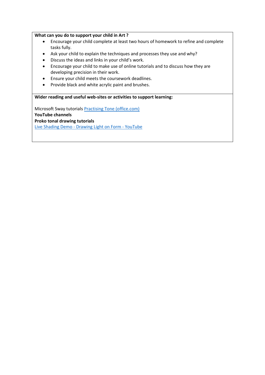#### **What can you do to support your child in Art ?**

- Encourage your child complete at least two hours of homework to refine and complete tasks fully.
- Ask your child to explain the techniques and processes they use and why?
- Discuss the ideas and links in your child's work.
- Encourage your child to make use of online tutorials and to discuss how they are developing precision in their work.
- Ensure your child meets the coursework deadlines.
- Provide black and white acrylic paint and brushes.

### **Wider reading and useful web-sites or activities to support learning:**

Microsoft Sway tutorials [Practising Tone \(office.com\)](https://sway.office.com/NVya2F80pzof5MTs) **YouTube channels Proko tonal drawing tutorials**

Live Shading Demo - [Drawing Light on Form -](https://www.youtube.com/watch?v=R6LL4qP5z5U) YouTube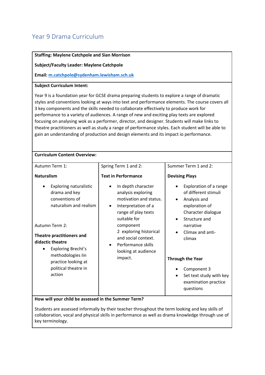# <span id="page-22-0"></span>Year 9 Drama Curriculum

| <b>Staffing: Maylene Catchpole and Sian Morrison</b>                                                                                                                                                                                                                                                                                                                                                                                                                                                                                                                                                                                                                                     |                                                                                                                                                                                                                                                |                                                                                                                                                                                                           |
|------------------------------------------------------------------------------------------------------------------------------------------------------------------------------------------------------------------------------------------------------------------------------------------------------------------------------------------------------------------------------------------------------------------------------------------------------------------------------------------------------------------------------------------------------------------------------------------------------------------------------------------------------------------------------------------|------------------------------------------------------------------------------------------------------------------------------------------------------------------------------------------------------------------------------------------------|-----------------------------------------------------------------------------------------------------------------------------------------------------------------------------------------------------------|
| <b>Subject/Faculty Leader: Maylene Catchpole</b>                                                                                                                                                                                                                                                                                                                                                                                                                                                                                                                                                                                                                                         |                                                                                                                                                                                                                                                |                                                                                                                                                                                                           |
| Email: m.catchpole@sydenham.lewisham.sch.uk                                                                                                                                                                                                                                                                                                                                                                                                                                                                                                                                                                                                                                              |                                                                                                                                                                                                                                                |                                                                                                                                                                                                           |
|                                                                                                                                                                                                                                                                                                                                                                                                                                                                                                                                                                                                                                                                                          |                                                                                                                                                                                                                                                |                                                                                                                                                                                                           |
| <b>Subject Curriculum Intent:</b>                                                                                                                                                                                                                                                                                                                                                                                                                                                                                                                                                                                                                                                        |                                                                                                                                                                                                                                                |                                                                                                                                                                                                           |
| Year 9 is a foundation year for GCSE drama preparing students to explore a range of dramatic<br>styles and conventions looking at ways into text and performance elements. The course covers all<br>3 key components and the skills needed to collaborate effectively to produce work for<br>performance to a variety of audiences. A range of new and exciting play texts are explored<br>focusing on analysing wok as a performer, director, and designer. Students will make links to<br>theatre practitioners as well as study a range of performance styles. Each student will be able to<br>gain an understanding of production and design elements and its impact io performance. |                                                                                                                                                                                                                                                |                                                                                                                                                                                                           |
| <b>Curriculum Content Overview:</b>                                                                                                                                                                                                                                                                                                                                                                                                                                                                                                                                                                                                                                                      |                                                                                                                                                                                                                                                |                                                                                                                                                                                                           |
| Autumn Term 1:                                                                                                                                                                                                                                                                                                                                                                                                                                                                                                                                                                                                                                                                           | Spring Term 1 and 2:                                                                                                                                                                                                                           | Summer Term 1 and 2:                                                                                                                                                                                      |
| <b>Naturalism</b>                                                                                                                                                                                                                                                                                                                                                                                                                                                                                                                                                                                                                                                                        | <b>Text in Performance</b>                                                                                                                                                                                                                     | <b>Devising Plays</b>                                                                                                                                                                                     |
| <b>Exploring naturalistic</b><br>drama and key<br>conventions of<br>naturalism and realism<br>Autumn Term 2:<br>Theatre practitioners and<br>didactic theatre<br>Exploring Brecht's                                                                                                                                                                                                                                                                                                                                                                                                                                                                                                      | In depth character<br>$\bullet$<br>analysis exploring<br>motivation and status.<br>Interpretation of a<br>$\bullet$<br>range of play texts<br>suitable for<br>component<br>2 exploring historical<br>and social context.<br>Performance skills | Exploration of a range<br>$\bullet$<br>of different stimuli<br>Analysis and<br>$\bullet$<br>exploration of<br>Character dialogue<br>Structure and<br>$\bullet$<br>narrative<br>Climax and anti-<br>climax |
| methodologies lin<br>practice looking at                                                                                                                                                                                                                                                                                                                                                                                                                                                                                                                                                                                                                                                 | looking at audience<br>impact.                                                                                                                                                                                                                 | <b>Through the Year</b>                                                                                                                                                                                   |
| political theatre in<br>action                                                                                                                                                                                                                                                                                                                                                                                                                                                                                                                                                                                                                                                           |                                                                                                                                                                                                                                                | Component 3<br>Set text study with key<br>examination practice<br>questions                                                                                                                               |
| How will your child be assessed in the Summer Term?                                                                                                                                                                                                                                                                                                                                                                                                                                                                                                                                                                                                                                      |                                                                                                                                                                                                                                                |                                                                                                                                                                                                           |

Students are assessed informally by their teacher throughout the term looking and key skills of collaboration, vocal and physical skills in performance as well as drama knowledge through use of key terminology.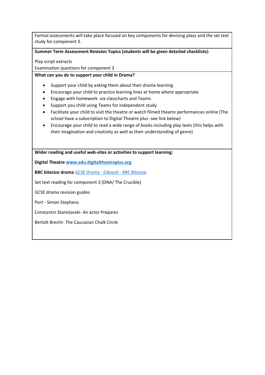Formal assessments will take place focused on key components for devising plays and the set text study for component 3.

### **Summer Term Assessment Revision Topics (students will be given detailed checklists):**

Play script extracts

Examination questions for component 3

### **What can you do to support your child in Drama?**

- Support your child by asking them about their drama learning
- Encourage your child to practice learning lines at home where appropriate
- Engage with homework via classcharts and Teams
- Support you child using Teams for independent study
- Facilitate your child to visit the theatre or watch filmed theatre performances online (The school have a subscription to Digital Theatre plus -see link below)
- Encourage your child to read a wide range of books including play texts (this helps with their imagination and creativity as well as their understanding of genre)

**Wider reading and useful web-sites or activities to support learning:**

**Digital Theatre [www.edu.digitaltheatreplus.org](http://www.edu.digitaltheatreplus.org/)**

**BBC bitesize drama** [GCSE Drama -](https://www.bbc.co.uk/bitesize/examspecs/zkvm2sg) Edexcel - BBC Bitesize

Set text reading for component 3 (DNA/ The Crucible)

GCSE drama revision guides

Port - Simon Stephens

Constantin Stanislavski- An actor Prepares

Bertolt Brecht- The Caucasian Chalk Circle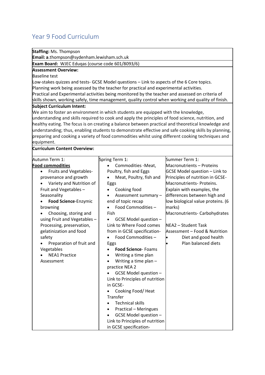# <span id="page-24-0"></span>Year 9 Food Curriculum

**Staffing:** Ms. Thompson

**Email: a**.thompson@sydenham.lewisham.sch.uk

**Exam Board:** WJEC Eduqas (course code 601/8093/6)

### **Assessment Overview:**

### Baseline test

Low-stakes quizzes and tests- GCSE Model questions – Link to aspects of the 6 Core topics. Planning work being assessed by the teacher for practical and experimental activities. Practical and Experimental activities being monitored by the teacher and assessed on criteria of skills shown, working safely, time management, quality control when working and quality of finish.

#### **Subject Curriculum Intent:**

We aim to foster an environment in which students are equipped with the knowledge, understanding and skills required to cook and apply the principles of food science, nutrition, and healthy eating. The focus is on creating a balance between practical and theoretical knowledge and understanding; thus, enabling students to demonstrate effective and safe cooking skills by planning, preparing and cooking a variety of food commodities whilst using different cooking techniques and equipment.

### **Curriculum Content Overview:**

| Autumn Term 1:                      | Spring Term 1:                            | Summer Term 1:                       |
|-------------------------------------|-------------------------------------------|--------------------------------------|
| <b>Food commodities</b>             | Commodities -Meat,                        | Macronutrients - Proteins            |
| Fruits and Vegetables-<br>$\bullet$ | Poultry, fish and Eggs                    | <b>GCSE Model question - Link to</b> |
| provenance and growth               | Meat, Poultry, fish and                   | Principles of nutrition in GCSE-     |
| Variety and Nutrition of            | Eggs                                      | Macronutrients- Proteins.            |
| Fruit and Vegetables -              | Cooking food                              | Explain with examples, the           |
| Seasonality                         | Assessment summary -<br>٠                 | differences between high and         |
| Food Science-Enzymic                | end of topic recap                        | low biological value proteins. (6    |
| browning                            | Food Commodities -                        | marks)                               |
| Choosing, storing and               | Fish                                      | Macronutrients- Carbohydrates        |
| using Fruit and Vegetables -        | GCSE Model question -                     |                                      |
| Processing, preservation,           | Link to Where Food comes                  | NEA2 - Student Task                  |
| gelatinization and food             | from in GCSE specification-               | Assessment - Food & Nutrition        |
| safety                              | Food Commodities -                        | Diet and good health                 |
| Preparation of fruit and            | Eggs                                      | Plan balanced diets                  |
| Vegetables                          | <b>Food Science-Foams</b>                 |                                      |
| <b>NEA1 Practice</b>                | Writing a time plan<br>$\bullet$          |                                      |
| Assessment                          | Writing a time plan $-$                   |                                      |
|                                     | practice NEA 2                            |                                      |
|                                     | GCSE Model question -                     |                                      |
|                                     | Link to Principles of nutrition           |                                      |
|                                     | in GCSE-                                  |                                      |
|                                     | Cooking Food/Heat                         |                                      |
|                                     | Transfer                                  |                                      |
|                                     | <b>Technical skills</b><br>$\bullet$      |                                      |
|                                     | <b>Practical - Meringues</b><br>$\bullet$ |                                      |
|                                     | GCSE Model question -                     |                                      |
|                                     | Link to Principles of nutrition           |                                      |
|                                     | in GCSE specification-                    |                                      |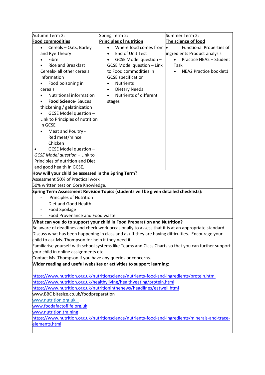| Autumn Term 2:                                                                                   | Spring Term 2:                                                                                       | Summer Term 2:                       |
|--------------------------------------------------------------------------------------------------|------------------------------------------------------------------------------------------------------|--------------------------------------|
| <b>Food commodities</b>                                                                          | <b>Principles of nutrition</b>                                                                       | The science of food                  |
| Cereals - Oats, Barley<br>$\bullet$                                                              | Where food comes from  <br>$\bullet$                                                                 | <b>Functional Properties of</b>      |
| and Rye Theory                                                                                   | End of Unit Test<br>$\bullet$                                                                        | ingredients Product analysis         |
| Fibre                                                                                            | GCSE Model question -<br>$\bullet$                                                                   | Practice NEA2 - Student<br>$\bullet$ |
| <b>Rice and Breakfast</b>                                                                        | <b>GCSE Model question - Link</b>                                                                    | Task                                 |
| Cereals- all other cereals                                                                       | to Food commodities In                                                                               | NEA2 Practice booklet1               |
| information                                                                                      | <b>GCSE</b> specification                                                                            |                                      |
| Food poisoning in                                                                                | <b>Nutrients</b><br>$\bullet$                                                                        |                                      |
| cereals                                                                                          | <b>Dietary Needs</b><br>$\bullet$                                                                    |                                      |
| Nutritional information                                                                          | Nutrients of different                                                                               |                                      |
| <b>Food Science-Sauces</b>                                                                       | stages                                                                                               |                                      |
| thickening / gelatinization                                                                      |                                                                                                      |                                      |
| GCSE Model question -                                                                            |                                                                                                      |                                      |
| Link to Principles of nutrition                                                                  |                                                                                                      |                                      |
| in GCSE                                                                                          |                                                                                                      |                                      |
| Meat and Poultry -                                                                               |                                                                                                      |                                      |
| Red meat/mince                                                                                   |                                                                                                      |                                      |
| Chicken                                                                                          |                                                                                                      |                                      |
| GCSE Model question -                                                                            |                                                                                                      |                                      |
| GCSE Model question - Link to                                                                    |                                                                                                      |                                      |
| Principles of nutrition and Diet                                                                 |                                                                                                      |                                      |
| and good health in GCSE.                                                                         |                                                                                                      |                                      |
| How will your child be assessed in the Spring Term?                                              |                                                                                                      |                                      |
| Assessment 50% of Practical work                                                                 |                                                                                                      |                                      |
| 50% written test on Core Knowledge.                                                              |                                                                                                      |                                      |
|                                                                                                  | Spring Term Assessment Revision Topics (students will be given detailed checklists):                 |                                      |
| <b>Principles of Nutrition</b>                                                                   |                                                                                                      |                                      |
| Diet and Good Health                                                                             |                                                                                                      |                                      |
| Food Spoilage                                                                                    |                                                                                                      |                                      |
| Food Provenance and Food waste                                                                   |                                                                                                      |                                      |
|                                                                                                  | What can you do to support your child in Food Preparation and Nutrition?                             |                                      |
|                                                                                                  | Be aware of deadlines and check work occasionally to assess that it is at an appropriate standard    |                                      |
|                                                                                                  | Discuss what has been happening in class and ask if they are having difficulties. Encourage your     |                                      |
| child to ask Ms. Thompson for help if they need it.                                              |                                                                                                      |                                      |
|                                                                                                  | Familiarise yourself with school systems like Teams and Class Charts so that you can further support |                                      |
| your child in online assignments etc.                                                            |                                                                                                      |                                      |
| Contact Ms. Thompson if you have any queries or concerns.                                        |                                                                                                      |                                      |
|                                                                                                  | Wider reading and useful websites or activities to support learning:                                 |                                      |
|                                                                                                  |                                                                                                      |                                      |
| https://www.nutrition.org.uk/nutritionscience/nutrients-food-and-ingredients/protein.html        |                                                                                                      |                                      |
| https://www.nutrition.org.uk/healthyliving/healthyeating/protein.html                            |                                                                                                      |                                      |
| https://www.nutrition.org.uk/nutritioninthenews/headlines/eatwell.html                           |                                                                                                      |                                      |
| www.BBC bitesize.co.uk/foodpreparation                                                           |                                                                                                      |                                      |
| www.nutrition.org.uk                                                                             |                                                                                                      |                                      |
| www.foodafactoflife.org.uk                                                                       |                                                                                                      |                                      |
| www.nutrition.training                                                                           |                                                                                                      |                                      |
| https://www.nutrition.org.uk/nutritionscience/nutrients-food-and-ingredients/minerals-and-trace- |                                                                                                      |                                      |
| elements.html                                                                                    |                                                                                                      |                                      |
|                                                                                                  |                                                                                                      |                                      |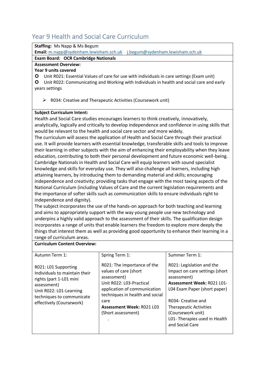# <span id="page-26-0"></span>Year 9 Health and Social Care Curriculum

| <b>Staffing: Ms Napp &amp; Ms Begum</b>                                        |  |
|--------------------------------------------------------------------------------|--|
| <b>Email:</b> m.napp@sydenham.lewisham.sch.uk j.begum@sydenham.lewisham.sch.uk |  |

### **Exam Board: OCR Cambridge Nationals**

### **Assessment Overview:**

### **Year 9 units covered**

Unit R021: Essential Values of care for use with individuals in care settings (Exam unit)

 Unit R022: Communicating and Working with Individuals in health and social care and early years settings

➢ R034: Creative and Therapeutic Activities (Coursework unit)

### **Subject Curriculum Intent:**

Health and Social Care studies encourages learners to think creatively, innovatively, analytically, logically and critically to develop independence and confidence in using skills that would be relevant to the health and social care sector and more widely.

The curriculum will assess the application of Health and Social Care through their practical use. It will provide learners with essential knowledge, transferable skills and tools to improve their learning in other subjects with the aim of enhancing their employability when they leave education, contributing to both their personal development and future economic well-being. Cambridge Nationals in Health and Social Care will equip learners with sound specialist knowledge and skills for everyday use. They will also challenge all learners, including high attaining learners, by introducing them to demanding material and skills; encouraging independence and creativity; providing tasks that engage with the most taxing aspects of the National Curriculum (including Values of Care and the current legislation requirements and the importance of softer skills such as communication skills to ensure individuals right to independence and dignity).

The subject incorporates the use of the hands-on approach for both teaching and learning and aims to appropriately support with the way young people use new technology and underpins a highly valid approach to the assessment of their skills. The qualification design incorporates a range of units that enable learners the freedom to explore more deeply the things that interest them as well as providing good opportunity to enhance their learning in a range of curriculum areas.

### **Curriculum Content Overview:**

| Autumn Term 1:                                                                                                                                                                      | Spring Term 1:                                                                                                                                                                                                                       | Summer Term 1:                                                                                                                                                                                                                                                                  |
|-------------------------------------------------------------------------------------------------------------------------------------------------------------------------------------|--------------------------------------------------------------------------------------------------------------------------------------------------------------------------------------------------------------------------------------|---------------------------------------------------------------------------------------------------------------------------------------------------------------------------------------------------------------------------------------------------------------------------------|
| R021: L01 Supporting<br>Individuals to maintain their<br>rights (part 1-L01 mini<br>assessment)<br>Unit R022: L01-Learning<br>techniques to communicate<br>effectively (Coursework) | R021: The importance of the<br>values of care (short<br>assessment)<br>Unit R022: L03-Practical<br>application of communication<br>techniques in health and social<br>care<br><b>Assessment Week: R021 L03</b><br>(Short assessment) | R021: Legislation and the<br>Impact on care settings (short<br>assessment)<br><b>Assessment Week: R021 L01-</b><br>L04 Exam Paper (short paper)<br>R034- Creative and<br><b>Therapeutic Activities</b><br>(Coursework unit)<br>L01- Therapies used in Health<br>and Social Care |
|                                                                                                                                                                                     |                                                                                                                                                                                                                                      |                                                                                                                                                                                                                                                                                 |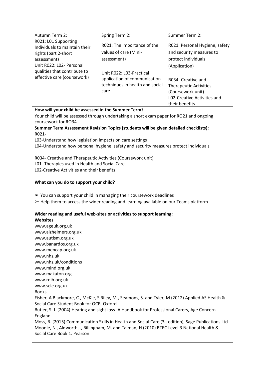| Autumn Term 2:                                                                                                                           | Spring Term 2:                                                                                      | Summer Term 2:                 |
|------------------------------------------------------------------------------------------------------------------------------------------|-----------------------------------------------------------------------------------------------------|--------------------------------|
| R021: L01 Supporting                                                                                                                     |                                                                                                     |                                |
| Individuals to maintain their                                                                                                            | R021: The importance of the                                                                         | R021: Personal Hygiene, safety |
| rights (part 2-short                                                                                                                     | values of care (Mini-                                                                               | and security measures to       |
| assessment)                                                                                                                              | assessment)                                                                                         | protect individuals            |
| Unit R022: L02- Personal                                                                                                                 |                                                                                                     | (Application)                  |
| qualities that contribute to                                                                                                             | Unit R022: L03-Practical                                                                            |                                |
| effective care (coursework)                                                                                                              | application of communication                                                                        | R034- Creative and             |
|                                                                                                                                          | techniques in health and social                                                                     | <b>Therapeutic Activities</b>  |
|                                                                                                                                          | care                                                                                                | (Coursework unit)              |
|                                                                                                                                          |                                                                                                     | L02-Creative Activities and    |
|                                                                                                                                          |                                                                                                     | their benefits                 |
| How will your child be assessed in the Summer Term?                                                                                      | Your child will be assessed through undertaking a short exam paper for RO21 and ongoing             |                                |
| coursework for RO34                                                                                                                      |                                                                                                     |                                |
|                                                                                                                                          | Summer Term Assessment Revision Topics (students will be given detailed checklists):                |                                |
| R021-                                                                                                                                    |                                                                                                     |                                |
| L03-Understand how legislation impacts on care settings                                                                                  |                                                                                                     |                                |
|                                                                                                                                          | L04-Understand how personal hygiene, safety and security measures protect individuals               |                                |
|                                                                                                                                          |                                                                                                     |                                |
| R034- Creative and Therapeutic Activities (Coursework unit)                                                                              |                                                                                                     |                                |
| L01- Therapies used in Health and Social Care                                                                                            |                                                                                                     |                                |
| L02-Creative Activities and their benefits                                                                                               |                                                                                                     |                                |
|                                                                                                                                          |                                                                                                     |                                |
| What can you do to support your child?                                                                                                   |                                                                                                     |                                |
|                                                                                                                                          |                                                                                                     |                                |
| $\triangleright$ You can support your child in managing their coursework deadlines                                                       |                                                                                                     |                                |
| $\triangleright$ Help them to access the wider reading and learning available on our Teams platform                                      |                                                                                                     |                                |
| Wider reading and useful web-sites or activities to support learning:                                                                    |                                                                                                     |                                |
| <b>Websites</b>                                                                                                                          |                                                                                                     |                                |
| www.ageuk.org.uk                                                                                                                         |                                                                                                     |                                |
| www.alzheimers.org.uk                                                                                                                    |                                                                                                     |                                |
| www.autism.org.uk                                                                                                                        |                                                                                                     |                                |
| www.banardos.org.uk                                                                                                                      |                                                                                                     |                                |
| www.mencap.org.uk                                                                                                                        |                                                                                                     |                                |
| www.nhs.uk                                                                                                                               |                                                                                                     |                                |
| www.nhs.uk/conditions                                                                                                                    |                                                                                                     |                                |
| www.mind.org.uk                                                                                                                          |                                                                                                     |                                |
| www.makaton.org                                                                                                                          |                                                                                                     |                                |
| www.rnib.org.uk                                                                                                                          |                                                                                                     |                                |
| www.scie.org.uk                                                                                                                          |                                                                                                     |                                |
| <b>Books</b>                                                                                                                             |                                                                                                     |                                |
| Fisher, A Blackmore, C., McKie, S Riley, M., Seamons, S. and Tyler, M (2012) Applied AS Health &                                         |                                                                                                     |                                |
| Social Care Student Book for OCR. Oxford<br>Butler, S. J. (2004) Hearing and sight loss- A Handbook for Professional Carers, Age Concern |                                                                                                     |                                |
| England.                                                                                                                                 |                                                                                                     |                                |
|                                                                                                                                          | Moss, B. (2015) Communication Skills in Health and Social Care (3rd edition), Sage Publications Ltd |                                |
| Social Care Book 1. Pearson.                                                                                                             | Moonie, N., Aldworth, ., Billingham, M. and Talman, H (2010) BTEC Level 3 National Health &         |                                |
|                                                                                                                                          |                                                                                                     |                                |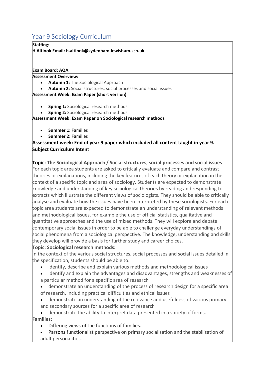# <span id="page-29-0"></span>Year 9 Sociology Curriculum

**Staffing:**

**H Altinok Email: h.altinok@sydenham.lewisham.sch.uk**

### **Exam Board: AQA**

### **Assessment Overview:**

- **Autumn 1:**The Sociological Approach
- **Autumn 2:** Social structures, social processes and social issues

### **Assessment Week: Exam Paper (short version)**

- **Spring 1:** Sociological research methods
- **Spring 2:** Sociological research methods

### **Assessment Week: Exam Paper on Sociological research methods**

- **Summer 1:**Families
- **Summer 2:**Families

### **Assessment week: End of year 9 paper which included all content taught in year 9. Subject Curriculum Intent**

**Topic: The Sociological Approach / Social structures, social processes and social issues** For each topic area students are asked to critically evaluate and compare and contrast theories or explanations, including the key features of each theory or explanation in the context of a specific topic and area of sociology. Students are expected to demonstrate knowledge and understanding of key sociological theories by reading and responding to extracts which illustrate the different views of sociologists. They should be able to critically analyse and evaluate how the issues have been interpreted by these sociologists. For each topic area students are expected to demonstrate an understanding of relevant methods and methodological issues, for example the use of official statistics, qualitative and quantitative approaches and the use of mixed methods. They will explore and debate contemporary social issues in order to be able to challenge everyday understandings of social phenomena from a sociological perspective. The knowledge, understanding and skills they develop will provide a basis for further study and career choices.

### **Topic: Sociological research methods:**

In the context of the various social structures, social processes and social issues detailed in the specification, students should be able to:

- identify, describe and explain various methods and methodological issues
- identify and explain the advantages and disadvantages, strengths and weaknesses of
- a particular method for a specific area of research
- demonstrate an understanding of the process of research design for a specific area of research, including practical difficulties and ethical issues
- demonstrate an understanding of the relevance and usefulness of various primary and secondary sources for a specific area of research
- demonstrate the ability to interpret data presented in a variety of forms.

### **Families:**

- Differing views of the functions of families.
- Parsons functionalist perspective on primary socialisation and the stabilisation of adult personalities.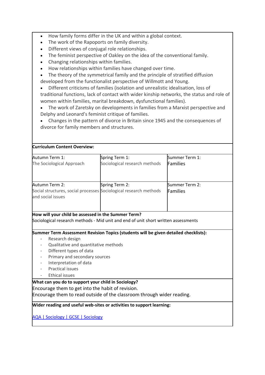- How family forms differ in the UK and within a global context.
- The work of the Rapoports on family diversity.
- Different views of conjugal role relationships.
- The feminist perspective of Oakley on the idea of the conventional family.
- Changing relationships within families.
- How relationships within families have changed over time.

The theory of the symmetrical family and the principle of stratified diffusion developed from the functionalist perspective of Willmott and Young.

• Different criticisms of families (isolation and unrealistic idealisation, loss of traditional functions, lack of contact with wider kinship networks, the status and role of women within families, marital breakdown, dysfunctional families).

• The work of Zaretsky on developments in families from a Marxist perspective and Delphy and Leonard's feminist critique of families.

• Changes in the pattern of divorce in Britain since 1945 and the consequences of divorce for family members and structures.

| Spring Term 1:<br>Sociological research methods                                                                                                                                                                                   | Summer Term 1:                    |
|-----------------------------------------------------------------------------------------------------------------------------------------------------------------------------------------------------------------------------------|-----------------------------------|
|                                                                                                                                                                                                                                   | Families                          |
| Spring Term 2:<br>Social structures, social processes Sociological research methods                                                                                                                                               | Summer Term 2:<br><b>Families</b> |
| How will your child be assessed in the Summer Term?<br>Sociological research methods - Mid unit and end of unit short written assessments<br>Summer Term Assessment Revision Topics (students will be given detailed checklists): |                                   |
|                                                                                                                                                                                                                                   |                                   |

- Qualitative and quantitative methods
- Different types of data
- Primary and secondary sources
- Interpretation of data
- Practical issues
- Ethical issues

### **What can you do to support your child in Sociology?**

Encourage them to get into the habit of revision.

Encourage them to read outside of the classroom through wider reading.

**Wider reading and useful web-sites or activities to support learning:**

[AQA | Sociology | GCSE | Sociology](https://www.aqa.org.uk/subjects/sociology/gcse/sociology-8192)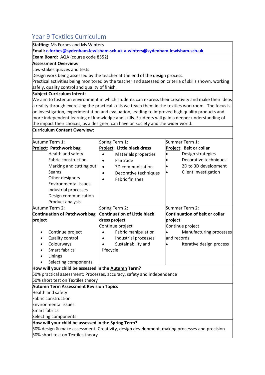# <span id="page-31-0"></span>Year 9 Textiles Curriculum

| TCAL DI TCALIICS CUITICUIUITI                                                                         |                                                                                                 |                                                                                                                                                                                                               |  |
|-------------------------------------------------------------------------------------------------------|-------------------------------------------------------------------------------------------------|---------------------------------------------------------------------------------------------------------------------------------------------------------------------------------------------------------------|--|
| <b>Staffing: Ms Forbes and Ms Winters</b>                                                             |                                                                                                 |                                                                                                                                                                                                               |  |
| Exam Board: AQA (course code 8552)                                                                    | Email: c.forbes@sydenham.lewisham.sch.uk a.winters@sydenham.lewisham.sch.uk                     |                                                                                                                                                                                                               |  |
| <b>Assessment Overview:</b>                                                                           |                                                                                                 |                                                                                                                                                                                                               |  |
|                                                                                                       |                                                                                                 |                                                                                                                                                                                                               |  |
| Low-stakes quizzes and tests                                                                          |                                                                                                 |                                                                                                                                                                                                               |  |
|                                                                                                       | Design work being assessed by the teacher at the end of the design process.                     |                                                                                                                                                                                                               |  |
| Practical activities being monitored by the teacher and assessed on criteria of skills shown, working |                                                                                                 |                                                                                                                                                                                                               |  |
| safely, quality control and quality of finish.                                                        |                                                                                                 |                                                                                                                                                                                                               |  |
| <b>Subject Curriculum Intent:</b>                                                                     |                                                                                                 |                                                                                                                                                                                                               |  |
|                                                                                                       |                                                                                                 | We aim to foster an environment in which students can express their creativity and make their ideas<br>a reality through exercising the practical skills we teach them in the textiles workroom. The focus is |  |
|                                                                                                       | on investigation, experimentation and evaluation, leading to improved high quality products and |                                                                                                                                                                                                               |  |
|                                                                                                       | more independent learning of knowledge and skills. Students will gain a deeper understanding of |                                                                                                                                                                                                               |  |
| the impact their choices, as a designer, can have on society and the wider world.                     |                                                                                                 |                                                                                                                                                                                                               |  |
| Curriculum Content Overview:                                                                          |                                                                                                 |                                                                                                                                                                                                               |  |
|                                                                                                       |                                                                                                 |                                                                                                                                                                                                               |  |
| Autumn Term 1:                                                                                        | Spring Term 1:                                                                                  | Summer Term 1:                                                                                                                                                                                                |  |
| Project: Patchwork bag                                                                                | Project: Little black dress                                                                     | Project: Belt or collar                                                                                                                                                                                       |  |
| Health and safety                                                                                     | Materials properties<br>$\bullet$                                                               | Design strategies                                                                                                                                                                                             |  |
| <b>Fabric construction</b>                                                                            | Fairtrade                                                                                       | Decorative techniques                                                                                                                                                                                         |  |
| Marking and cutting out                                                                               | 3D communication<br>$\bullet$                                                                   | 2D to 3D development                                                                                                                                                                                          |  |
| Seams                                                                                                 | Decorative techniques<br>$\bullet$                                                              | Client investigation                                                                                                                                                                                          |  |
| Other designers                                                                                       | <b>Fabric finishes</b>                                                                          |                                                                                                                                                                                                               |  |
| <b>Environmental issues</b>                                                                           |                                                                                                 |                                                                                                                                                                                                               |  |
| Industrial processes                                                                                  |                                                                                                 |                                                                                                                                                                                                               |  |
| Design communication                                                                                  |                                                                                                 |                                                                                                                                                                                                               |  |
| Product analysis                                                                                      |                                                                                                 |                                                                                                                                                                                                               |  |
| Autumn Term 2:                                                                                        | Spring Term 2:                                                                                  | Summer Term 2:                                                                                                                                                                                                |  |
| <b>Continuation of Patchwork bag</b>                                                                  | <b>Continuation of Little black</b>                                                             | <b>Continuation of belt or collar</b>                                                                                                                                                                         |  |
| project                                                                                               | dress project                                                                                   | project                                                                                                                                                                                                       |  |
|                                                                                                       | Continue project                                                                                | Continue project                                                                                                                                                                                              |  |
| Continue project                                                                                      | Fabric manipulation                                                                             | Manufacturing processes                                                                                                                                                                                       |  |
| <b>Quality control</b>                                                                                | Industrial processes                                                                            | and records                                                                                                                                                                                                   |  |
| Colourways                                                                                            | Sustainability and                                                                              | Iterative design process                                                                                                                                                                                      |  |
| Smart fabrics                                                                                         | lifecycle                                                                                       |                                                                                                                                                                                                               |  |
| Linings                                                                                               |                                                                                                 |                                                                                                                                                                                                               |  |
| Selecting components                                                                                  |                                                                                                 |                                                                                                                                                                                                               |  |
| How will your child be assessed in the Autumn Term?                                                   |                                                                                                 |                                                                                                                                                                                                               |  |
|                                                                                                       | 50% practical assessment: Processes, accuracy, safety and independence                          |                                                                                                                                                                                                               |  |
| 50% short test on Textiles theory                                                                     |                                                                                                 |                                                                                                                                                                                                               |  |
| <b>Autumn Term Assessment Revision Topics</b>                                                         |                                                                                                 |                                                                                                                                                                                                               |  |
| Health and safety                                                                                     |                                                                                                 |                                                                                                                                                                                                               |  |
| <b>Fabric construction</b>                                                                            |                                                                                                 |                                                                                                                                                                                                               |  |
| <b>Environmental issues</b>                                                                           |                                                                                                 |                                                                                                                                                                                                               |  |
| <b>Smart fabrics</b>                                                                                  |                                                                                                 |                                                                                                                                                                                                               |  |
| Selecting components                                                                                  |                                                                                                 |                                                                                                                                                                                                               |  |
| How will your child be assessed in the Spring Term?                                                   |                                                                                                 |                                                                                                                                                                                                               |  |
| 50% design & make assessment: Creativity, design development, making processes and precision          |                                                                                                 |                                                                                                                                                                                                               |  |
| 50% short test on Textiles theory                                                                     |                                                                                                 |                                                                                                                                                                                                               |  |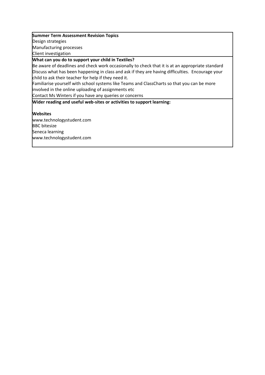#### **Summer Term Assessment Revision Topics**

Design strategies

Manufacturing processes

Client investigation

**What can you do to support your child in Textiles?**

Be aware of deadlines and check work occasionally to check that it is at an appropriate standard Discuss what has been happening in class and ask if they are having difficulties. Encourage your child to ask their teacher for help if they need it.

Familiarise yourself with school systems like Teams and ClassCharts so that you can be more involved in the online uploading of assignments etc

Contact Ms Winters if you have any queries or concerns

**Wider reading and useful web-sites or activities to support learning:**

**Websites** www.technologystudent.com BBC bitesize Seneca learning

www.technologystudent.com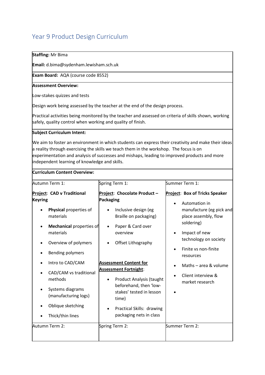# <span id="page-33-0"></span>Year 9 Product Design Curriculum

### **Staffing:** Mr Bima

**Email:** d.bima@sydenham.lewisham.sch.uk

**Exam Board:** AQA (course code 8552)

### **Assessment Overview:**

Low-stakes quizzes and tests

Design work being assessed by the teacher at the end of the design process.

Practical activities being monitored by the teacher and assessed on criteria of skills shown, working safely, quality control when working and quality of finish.

### **Subject Curriculum Intent:**

We aim to foster an environment in which students can express their creativity and make their ideas a reality through exercising the skills we teach them in the workshop. The focus is on experimentation and analysis of successes and mishaps, leading to improved products and more independent learning of knowledge and skills.

#### **Curriculum Content Overview:**

|                | Autumn Term 1:                                                                                                                                                                                              | Spring Term 1:                                                                                                                                                                                                           | Summer Term 1:                                                                                                                                                                                                                                         |
|----------------|-------------------------------------------------------------------------------------------------------------------------------------------------------------------------------------------------------------|--------------------------------------------------------------------------------------------------------------------------------------------------------------------------------------------------------------------------|--------------------------------------------------------------------------------------------------------------------------------------------------------------------------------------------------------------------------------------------------------|
| <b>Keyring</b> | Project: CAD v Traditional<br>Physical properties of<br>materials<br><b>Mechanical properties of</b><br>materials<br>Overview of polymers<br>Bending polymers<br>Intro to CAD/CAM<br>CAD/CAM vs traditional | Project: Chocolate Product-<br><b>Packaging</b><br>Inclusive design (eg<br>Braille on packaging)<br>Paper & Card over<br>overview<br>Offset Lithography<br><b>Assessment Content for</b><br><b>Assessment Fortnight:</b> | <b>Project: Box of Tricks Speaker</b><br>Automation in<br>manufacture (eg pick and<br>place assembly, flow<br>soldering)<br>Impact of new<br>technology on society<br>Finite vs non-finite<br>resources<br>Maths - area & volume<br>Client interview & |
|                | methods<br>Systems diagrams<br>(manufacturing logs)<br>Oblique sketching<br>Thick/thin lines                                                                                                                | Product Analysis (taught<br>beforehand, then 'low-<br>stakes' tested in lesson<br>time)<br>Practical Skills: drawing<br>packaging nets in class                                                                          | market research                                                                                                                                                                                                                                        |
|                | Autumn Term 2:                                                                                                                                                                                              | Spring Term 2:                                                                                                                                                                                                           | Summer Term 2:                                                                                                                                                                                                                                         |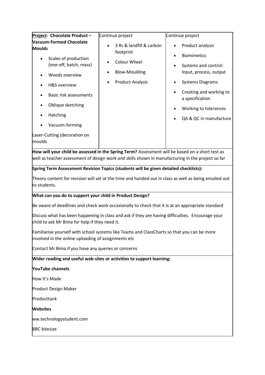| Project: Chocolate Product-                                                                                                                                                                                                                                                                                                                                                                           | Continue project         | Continue project                               |
|-------------------------------------------------------------------------------------------------------------------------------------------------------------------------------------------------------------------------------------------------------------------------------------------------------------------------------------------------------------------------------------------------------|--------------------------|------------------------------------------------|
| <b>Vacuum-Formed Chocolate</b>                                                                                                                                                                                                                                                                                                                                                                        | 3 Rs & landfill & carbon | Product analysis                               |
| <b>Moulds</b>                                                                                                                                                                                                                                                                                                                                                                                         | footprint                | <b>Biomimetics</b>                             |
| Scales of production<br>(one-off, batch, mass)                                                                                                                                                                                                                                                                                                                                                        | Colour Wheel             |                                                |
| Woods overview                                                                                                                                                                                                                                                                                                                                                                                        | <b>Blow-Moulding</b>     | Systems and control:<br>Input, process, output |
| <b>H&amp;S</b> overview                                                                                                                                                                                                                                                                                                                                                                               | <b>Product Analysis</b>  | <b>Systems Diagrams</b>                        |
| Basic risk assessments                                                                                                                                                                                                                                                                                                                                                                                |                          | Creating and working to<br>a specification     |
| Oblique sketching                                                                                                                                                                                                                                                                                                                                                                                     |                          | Working to tolerances                          |
| Hatching                                                                                                                                                                                                                                                                                                                                                                                              |                          | QA & QC in manufacture                         |
| Vacuum-forming                                                                                                                                                                                                                                                                                                                                                                                        |                          |                                                |
| Laser-Cutting (decoration on<br>moulds                                                                                                                                                                                                                                                                                                                                                                |                          |                                                |
| How will your child be assessed in the Spring Term? Assessment will be based on a short test as<br>well as teacher assessment of design work and skills shown in manufacturing in the project so far<br>Spring Term Assessment Revision Topics (students will be given detailed checklists):<br>Theory content for revision will set at the time and handed out in class as well as being emailed out |                          |                                                |
| to students.                                                                                                                                                                                                                                                                                                                                                                                          |                          |                                                |
| What can you do to support your child in Product Design?                                                                                                                                                                                                                                                                                                                                              |                          |                                                |
| Be aware of deadlines and check work occasionally to check that it is at an appropriate standard                                                                                                                                                                                                                                                                                                      |                          |                                                |
| Discuss what has been happening in class and ask if they are having difficulties. Encourage your<br>child to ask Mr Bima for help if they need it.                                                                                                                                                                                                                                                    |                          |                                                |
| Familiarise yourself with school systems like Teams and ClassCharts so that you can be more<br>involved in the online uploading of assignments etc                                                                                                                                                                                                                                                    |                          |                                                |
| Contact Mr Bima if you have any queries or concerns                                                                                                                                                                                                                                                                                                                                                   |                          |                                                |
| Wider reading and useful web-sites or activities to support learning:                                                                                                                                                                                                                                                                                                                                 |                          |                                                |
| <b>YouTube channels</b>                                                                                                                                                                                                                                                                                                                                                                               |                          |                                                |
| How It's Made                                                                                                                                                                                                                                                                                                                                                                                         |                          |                                                |
| Product Design Maker                                                                                                                                                                                                                                                                                                                                                                                  |                          |                                                |
| Producttank                                                                                                                                                                                                                                                                                                                                                                                           |                          |                                                |
| <b>Websites</b>                                                                                                                                                                                                                                                                                                                                                                                       |                          |                                                |
| ww.technologystudent.com                                                                                                                                                                                                                                                                                                                                                                              |                          |                                                |
| <b>BBC</b> bitesize                                                                                                                                                                                                                                                                                                                                                                                   |                          |                                                |
|                                                                                                                                                                                                                                                                                                                                                                                                       |                          |                                                |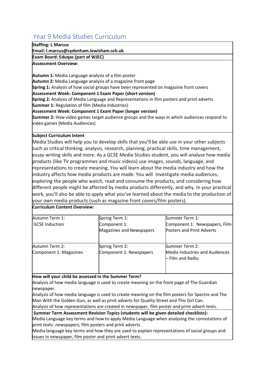# <span id="page-35-0"></span>Year 9 Media Studies Curriculum

### **Staffing: L Marcus**

**Email: l.marcus@sydenham.lewisham.sch.uk**

**Exam Board: Eduqas (part of WJEC)**

**Assessment Overview:**

**Autumn 1:** Media Language analysis of a film poster **Autumn 2:** Media Language analysis of a magazine front page **Spring 1:** Analysis of how social groups have been represented on magazine front covers **Assessment Week: Component 1 Exam Paper (short version) Spring 2:** Analysis of Media Language and Representations in film posters and print adverts **Summer 1:** Regulation of film (Media Industries) **Assessment Week: Component 1 Exam Paper (longer version) Summer 2:** How video games target audience groups and the ways in which audiences respond to video games (Media Audiences)

### **Subject Curriculum Intent**

**Curriculum Content Overview:**

Media Studies will help you to develop skills that you'll be able use in your other subjects such as critical thinking, analysis, research, planning, practical skills, time management, essay writing skills and more. As a GCSE Media Studies student, you will analyse how media products (like TV programmes and music videos) use images, sounds, language, and representations to create meaning. You will learn about the media industry and how the industry affects how media products are made. You will investigate media audiences, exploring the people who watch, read and consume the products, and considering how different people might be affected by media products differently, and why. In your practical work, you'll also be able to apply what you've learned about the media to the production of your own media products (such as magazine front covers/film posters).

| Autumn Term 1:         | Spring Term 1:                  | Summer Term 1:                                            |
|------------------------|---------------------------------|-----------------------------------------------------------|
| <b>GCSE</b> Induction  | Component 1:                    | Component 1: Newspapers, Film                             |
|                        | <b>Magazines and Newspapers</b> | Posters and Print Adverts                                 |
| Autumn Term 2:         | Spring Term 2:                  | Summer Term 2:                                            |
| Component 1: Magazines | Component 1: Newspapers         | <b>Media Industries and Audiences</b><br>– Film and Radio |
|                        |                                 |                                                           |

#### **How will your child be assessed in the Summer Term?**

Analysis of how media language is used to create meaning on the front page of The Guardian newspaper.

Analysis of how media language is used to create meaning on the film posters for Spectre and The Man With the Golden Gun, as well as print adverts for Quality Street and This Girl Can.

Analysis of how representations are created in newspaper, film poster and print advert texts.

**Summer Term Assessment Revision Topics (students will be given detailed checklists):**

Media Language key terms and how to apply Media Language when analysing the connotations of print texts: newspapers, film posters and print adverts.

Media language key terms and how they are used to explain representations of social groups and issues in newspaper, film poster and print advert texts.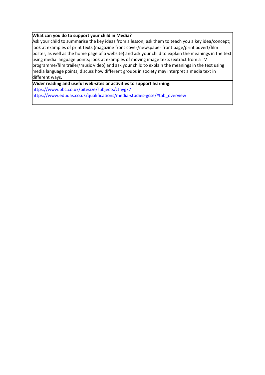#### **What can you do to support your child in Media?**

Ask your child to summarise the key ideas from a lesson; ask them to teach you a key idea/concept; look at examples of print texts (magazine front cover/newspaper front page/print advert/film poster, as well as the home page of a website) and ask your child to explain the meanings in the text using media language points; look at examples of moving image texts (extract from a TV programme/film trailer/music video) and ask your child to explain the meanings in the text using media language points; discuss how different groups in society may interpret a media text in different ways.

**Wider reading and useful web-sites or activities to support learning:** <https://www.bbc.co.uk/bitesize/subjects/ztnygk7> [https://www.eduqas.co.uk/qualifications/media-studies-gcse/#tab\\_overview](https://www.eduqas.co.uk/qualifications/media-studies-gcse/#tab_overview)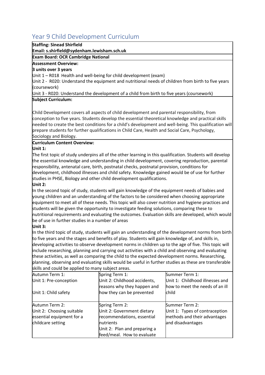# <span id="page-37-0"></span>Year 9 Child Development Curriculum

### **Staffing: Sinead Shirfield**

**Email: s.shirfield@sydenham.lewisham.sch.uk**

### **Exam Board: OCR Cambridge National**

### **Assessment Overview:**

### **3 units over 3 years**

Unit 1 – R018 Health and well-being for child development (exam)

Unit 2 - R020: Understand the equipment and nutritional needs of children from birth to five years (coursework)

Unit 3 - R020: Understand the development of a child from birth to five years (coursework)

### **Subject Curriculum:**

Child Development covers all aspects of child development and parental responsibility, from conception to five years. Students develop the essential theoretical knowledge and practical skills needed to create the best conditions for a child's development and well-being. This qualification will prepare students for further qualifications in Child Care, Health and Social Care, Psychology, Sociology and Biology.

### **Curriculum Content Overview:**

### **Unit 1:**

The first topic of study underpins all of the other learning in this qualification. Students will develop the essential knowledge and understanding in child development, covering reproduction, parental responsibility, antenatal care, birth, postnatal checks, postnatal provision, conditions for development, childhood illnesses and child safety. Knowledge gained would be of use for further studies in PHSE, Biology and other child development qualifications.

### **Unit 2:**

In the second topic of study, students will gain knowledge of the equipment needs of babies and young children and an understanding of the factors to be considered when choosing appropriate equipment to meet all of these needs. This topic will also cover nutrition and hygiene practices and students will be given the opportunity to investigate feeding solutions, comparing these to nutritional requirements and evaluating the outcomes. Evaluation skills are developed, which would be of use in further studies in a number of areas

### **Unit 3:**

In the third topic of study, students will gain an understanding of the development norms from birth to five years and the stages and benefits of play. Students will gain knowledge of, and skills in, developing activities to observe development norms in children up to the age of five. This topic will include researching, planning and carrying out activities with a child and observing and evaluating these activities, as well as comparing the child to the expected development norms. Researching, planning, observing and evaluating skills would be useful in further studies as these are transferable skills and could be applied to many subject areas.

| Autumn Term 1:            | Spring Term 1:                                              | Summer Term 1:                                                     |
|---------------------------|-------------------------------------------------------------|--------------------------------------------------------------------|
| Unit 1: Pre-conception    | Unit 2: Childhood accidents,<br>reasons why they happen and | Unit 1: Childhood illnesses and<br>how to meet the needs of an ill |
| Unit 1: Child safety      | how they can be prevented                                   | child                                                              |
| Autumn Term 2:            | Spring Term 2:                                              | Summer Term 2:                                                     |
| Unit 2: Choosing suitable | Unit 2: Government dietary                                  | Unit 1: Types of contraception                                     |
| essential equipment for a | recommendations, essential                                  | methods and their advantages                                       |
| childcare setting         | nutrients                                                   | and disadvantages                                                  |
|                           | Unit 2: Plan and preparing a                                |                                                                    |
|                           | feed/meal. How to evaluate                                  |                                                                    |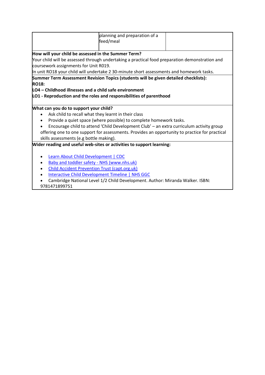|                                                                                                | planning and preparation of a                                                                  |  |  |
|------------------------------------------------------------------------------------------------|------------------------------------------------------------------------------------------------|--|--|
|                                                                                                | feed/meal                                                                                      |  |  |
|                                                                                                |                                                                                                |  |  |
| How will your child be assessed in the Summer Term?                                            |                                                                                                |  |  |
|                                                                                                | Your child will be assessed through undertaking a practical food preparation demonstration and |  |  |
| coursework assignments for Unit R019.                                                          |                                                                                                |  |  |
|                                                                                                | In unit RO18 your child will undertake 2 30-minute short assessments and homework tasks.       |  |  |
|                                                                                                | Summer Term Assessment Revision Topics (students will be given detailed checklists):           |  |  |
| <b>RO18:</b>                                                                                   |                                                                                                |  |  |
| LO4 – Childhood illnesses and a child safe environment                                         |                                                                                                |  |  |
|                                                                                                | LO1 - Reproduction and the roles and responsibilities of parenthood                            |  |  |
|                                                                                                |                                                                                                |  |  |
| What can you do to support your child?                                                         |                                                                                                |  |  |
| Ask child to recall what they learnt in their class                                            |                                                                                                |  |  |
|                                                                                                | Provide a quiet space (where possible) to complete homework tasks.                             |  |  |
|                                                                                                | Encourage child to attend 'Child Development Club' - an extra curriculum activity group        |  |  |
| offering one to one support for assessments. Provides an opportunity to practice for practical |                                                                                                |  |  |
| skills assessments (e.g bottle making).                                                        |                                                                                                |  |  |
|                                                                                                | Wider reading and useful web-sites or activities to support learning:                          |  |  |
|                                                                                                |                                                                                                |  |  |
| <b>Learn About Child Development   CDC</b>                                                     |                                                                                                |  |  |
| Baby and toddler safety - NHS (www.nhs.uk)                                                     |                                                                                                |  |  |
| <b>Child Accident Prevention Trust (capt.org.uk)</b>                                           |                                                                                                |  |  |
|                                                                                                | <b>Interactive Child Development Timeline   NHS GGC</b>                                        |  |  |
|                                                                                                | Cambridge National Level 1/2 Child Development. Author: Miranda Walker. ISBN:                  |  |  |
| 9781471899751                                                                                  |                                                                                                |  |  |

9781471899751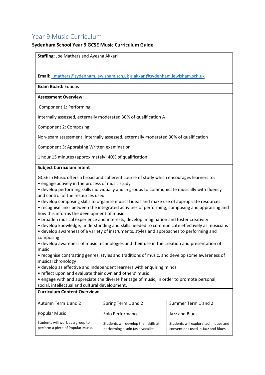# <span id="page-39-0"></span>Year 9 Music Curriculum

### **Sydenham School Year 9 GCSE Music Curriculum Guide**

|                                                                                                                                                                                                                                                                                                                                                                                                                                                                                                                                                                                                                                                                                                                                                                                                                                                                                                                                                                                                                                                                                                                                                                                                                                                                                                                                                                                         | Staffing: Joe Mathers and Ayesha Akkari                                             |                                                                            |  |
|-----------------------------------------------------------------------------------------------------------------------------------------------------------------------------------------------------------------------------------------------------------------------------------------------------------------------------------------------------------------------------------------------------------------------------------------------------------------------------------------------------------------------------------------------------------------------------------------------------------------------------------------------------------------------------------------------------------------------------------------------------------------------------------------------------------------------------------------------------------------------------------------------------------------------------------------------------------------------------------------------------------------------------------------------------------------------------------------------------------------------------------------------------------------------------------------------------------------------------------------------------------------------------------------------------------------------------------------------------------------------------------------|-------------------------------------------------------------------------------------|----------------------------------------------------------------------------|--|
|                                                                                                                                                                                                                                                                                                                                                                                                                                                                                                                                                                                                                                                                                                                                                                                                                                                                                                                                                                                                                                                                                                                                                                                                                                                                                                                                                                                         |                                                                                     |                                                                            |  |
|                                                                                                                                                                                                                                                                                                                                                                                                                                                                                                                                                                                                                                                                                                                                                                                                                                                                                                                                                                                                                                                                                                                                                                                                                                                                                                                                                                                         | Email: j.mathers@sydenham.lewisham.sch.uk a.akkari@sydenham.lewisham.sch.uk         |                                                                            |  |
| Exam Board: Eduqas                                                                                                                                                                                                                                                                                                                                                                                                                                                                                                                                                                                                                                                                                                                                                                                                                                                                                                                                                                                                                                                                                                                                                                                                                                                                                                                                                                      |                                                                                     |                                                                            |  |
| <b>Assessment Overview:</b>                                                                                                                                                                                                                                                                                                                                                                                                                                                                                                                                                                                                                                                                                                                                                                                                                                                                                                                                                                                                                                                                                                                                                                                                                                                                                                                                                             |                                                                                     |                                                                            |  |
| Component 1: Performing                                                                                                                                                                                                                                                                                                                                                                                                                                                                                                                                                                                                                                                                                                                                                                                                                                                                                                                                                                                                                                                                                                                                                                                                                                                                                                                                                                 |                                                                                     |                                                                            |  |
|                                                                                                                                                                                                                                                                                                                                                                                                                                                                                                                                                                                                                                                                                                                                                                                                                                                                                                                                                                                                                                                                                                                                                                                                                                                                                                                                                                                         | Internally assessed, externally moderated 30% of qualification A                    |                                                                            |  |
| Component 2: Composing                                                                                                                                                                                                                                                                                                                                                                                                                                                                                                                                                                                                                                                                                                                                                                                                                                                                                                                                                                                                                                                                                                                                                                                                                                                                                                                                                                  |                                                                                     |                                                                            |  |
|                                                                                                                                                                                                                                                                                                                                                                                                                                                                                                                                                                                                                                                                                                                                                                                                                                                                                                                                                                                                                                                                                                                                                                                                                                                                                                                                                                                         | Non-exam assessment: internally assessed, externally moderated 30% of qualification |                                                                            |  |
| Component 3: Appraising Written examination                                                                                                                                                                                                                                                                                                                                                                                                                                                                                                                                                                                                                                                                                                                                                                                                                                                                                                                                                                                                                                                                                                                                                                                                                                                                                                                                             |                                                                                     |                                                                            |  |
| 1 hour 15 minutes (approximately) 40% of qualification                                                                                                                                                                                                                                                                                                                                                                                                                                                                                                                                                                                                                                                                                                                                                                                                                                                                                                                                                                                                                                                                                                                                                                                                                                                                                                                                  |                                                                                     |                                                                            |  |
| <b>Subject Curriculum Intent</b>                                                                                                                                                                                                                                                                                                                                                                                                                                                                                                                                                                                                                                                                                                                                                                                                                                                                                                                                                                                                                                                                                                                                                                                                                                                                                                                                                        |                                                                                     |                                                                            |  |
| GCSE in Music offers a broad and coherent course of study which encourages learners to:<br>• engage actively in the process of music study<br>• develop performing skills individually and in groups to communicate musically with fluency<br>and control of the resources used<br>• develop composing skills to organise musical ideas and make use of appropriate resources<br>• recognise links between the integrated activities of performing, composing and appraising and<br>how this informs the development of music<br>• broaden musical experience and interests, develop imagination and foster creativity<br>• develop knowledge, understanding and skills needed to communicate effectively as musicians<br>• develop awareness of a variety of instruments, styles and approaches to performing and<br>composing<br>• develop awareness of music technologies and their use in the creation and presentation of<br>music<br>• recognise contrasting genres, styles and traditions of music, and develop some awareness of<br>musical chronology<br>• develop as effective and independent learners with enquiring minds<br>• reflect upon and evaluate their own and others' music<br>• engage with and appreciate the diverse heritage of music, in order to promote personal,<br>social, intellectual and cultural development.<br><b>Curriculum Content Overview:</b> |                                                                                     |                                                                            |  |
| Autumn Term 1 and 2                                                                                                                                                                                                                                                                                                                                                                                                                                                                                                                                                                                                                                                                                                                                                                                                                                                                                                                                                                                                                                                                                                                                                                                                                                                                                                                                                                     |                                                                                     | Summer Term 1 and 2                                                        |  |
|                                                                                                                                                                                                                                                                                                                                                                                                                                                                                                                                                                                                                                                                                                                                                                                                                                                                                                                                                                                                                                                                                                                                                                                                                                                                                                                                                                                         | Spring Term 1 and 2                                                                 |                                                                            |  |
| <b>Popular Music</b><br>Students will work as a group to                                                                                                                                                                                                                                                                                                                                                                                                                                                                                                                                                                                                                                                                                                                                                                                                                                                                                                                                                                                                                                                                                                                                                                                                                                                                                                                                | Solo Performance                                                                    | Jazz and Blues                                                             |  |
| perform a piece of Popular Music.                                                                                                                                                                                                                                                                                                                                                                                                                                                                                                                                                                                                                                                                                                                                                                                                                                                                                                                                                                                                                                                                                                                                                                                                                                                                                                                                                       | Students will develop their skills at<br>performing a solo (as a vocalist,          | Students will explore techniques and<br>conventions used in Jazz and Blues |  |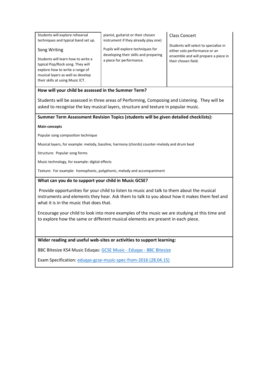| Students will explore rehearsal<br>techniques and typical band set up.                                                                                                             | pianist, guitarist or their chosen<br>instrument if they already play one)  | Class Concert                                                          |
|------------------------------------------------------------------------------------------------------------------------------------------------------------------------------------|-----------------------------------------------------------------------------|------------------------------------------------------------------------|
| Song Writing                                                                                                                                                                       | Pupils will explore techniques for<br>developing their skills and preparing | Students will select to specialise in<br>either solo performance or an |
| Students will learn how to write a<br>typical Pop/Rock song. They will<br>explore how to write a range of<br>musical layers as well as develop<br>their skills at using Music ICT. | a piece for performance.                                                    | ensemble and will prepare a piece in<br>their chosen field.            |

### **How will your child be assessed in the Summer Term?**

Students will be assessed in three areas of Performing, Composing and Listening. They will be asked to recognise the key musical layers, structure and texture in popular music.

**Summer Term Assessment Revision Topics (students will be given detailed checklists):** 

#### **Main concepts**

Popular song composition technique

Musical layers, for example: melody, bassline, harmony (chords) counter-melody and drum beat

Structure: Popular song forms

Music technology, for example: digital effects

Texture: For example: homophonic, polyphonic, melody and accompaniment

#### **What can you do to support your child in Music GCSE?**

Provide opportunities for your child to listen to music and talk to them about the musical instruments and elements they hear. Ask them to talk to you about how it makes them feel and what it is in the music that does that.

Encourage your child to look into more examples of the music we are studying at this time and to explore how the same or different musical elements are present in each piece.

**Wider reading and useful web-sites or activities to support learning:**

BBC BItesize KS4 Music Eduqas[: GCSE Music -](https://www.bbc.co.uk/bitesize/examspecs/zbmct39) Eduqas - BBC Bitesize

Exam Specification: [eduqas-gcse-music-spec-from-2016 \(28.04.15\)](https://www.eduqas.co.uk/media/by5boopf/eduqas-gcse-music-spec-from-2016-d.pdf)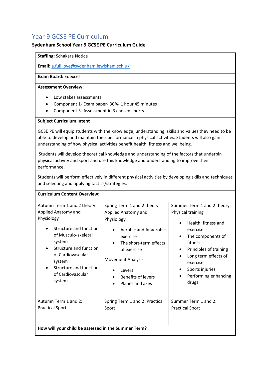# <span id="page-41-0"></span>Year 9 GCSE PE Curriculum

### **Sydenham School Year 9 GCSE PE Curriculum Guide**

### **Staffing:** Schakara Notice

**Email:** [a.fullilove@sydenham.lewisham.sch.uk](mailto:a.fullilove@sydenham.lewisham.sch.uk)

### **Exam Board:** Edexcel

### **Assessment Overview:**

- Low stakes assessments
- Component 1- Exam paper- 30%- 1 hour 45 minutes
- Component 3- Assessment in 3 chosen sports

### **Subject Curriculum Intent**

GCSE PE will equip students with the knowledge, understanding, skills and values they need to be able to develop and maintain their performance in physical activities. Students will also gain understanding of how physical activities benefit health, fitness and wellbeing.

Students will develop theoretical knowledge and understanding of the factors that underpin physical activity and sport and use this knowledge and understanding to improve their performance.

Students will perform effectively in different physical activities by developing skills and techniques and selecting and applying tactics/strategies.

| <b>Curriculum Content Overview:</b>                                                                                                                                                                                                           |                                                                                                                                                                                                                               |                                                                                                                                                                                                                                                                 |
|-----------------------------------------------------------------------------------------------------------------------------------------------------------------------------------------------------------------------------------------------|-------------------------------------------------------------------------------------------------------------------------------------------------------------------------------------------------------------------------------|-----------------------------------------------------------------------------------------------------------------------------------------------------------------------------------------------------------------------------------------------------------------|
| Autumn Term 1 and 2 theory:<br>Applied Anatomy and<br>Physiology<br>Structure and function<br>of Musculo-skeletal<br>system<br>Structure and function<br>of Cardiovascular<br>system<br>Structure and function<br>of Cardiovascular<br>system | Spring Term 1 and 2 theory:<br>Applied Anatomy and<br>Physiology<br>Aerobic and Anaerobic<br>exercise<br>The short-term effects<br>of exercise<br><b>Movement Analysis</b><br>Levers<br>Benefits of levers<br>Planes and axes | Summer Term 1 and 2 theory:<br>Physical training<br>Health, fitness and<br>$\bullet$<br>exercise<br>The components of<br>fitness<br>Principles of training<br>Long term effects of<br>exercise<br>Sports injuries<br>Performing enhancing<br>$\bullet$<br>drugs |
| Autumn Term 1 and 2:<br><b>Practical Sport</b><br>How will your child be assessed in the Summer Term?                                                                                                                                         | Spring Term 1 and 2: Practical<br>Sport                                                                                                                                                                                       | Summer Term 1 and 2:<br><b>Practical Sport</b>                                                                                                                                                                                                                  |
|                                                                                                                                                                                                                                               |                                                                                                                                                                                                                               |                                                                                                                                                                                                                                                                 |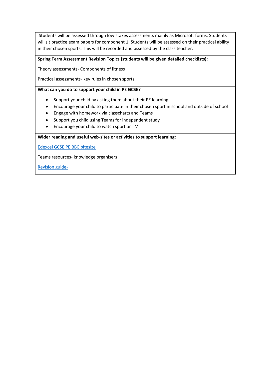Students will be assessed through low stakes assessments mainly as Microsoft forms. Students will sit practice exam papers for component 1. Students will be assessed on their practical ability in their chosen sports. This will be recorded and assessed by the class teacher.

### **Spring Term Assessment Revision Topics (students will be given detailed checklists):**

Theory assessments- Components of fitness

Practical assessments- key rules in chosen sports

### **What can you do to support your child in PE GCSE?**

- Support your child by asking them about their PE learning
- Encourage your child to participate in their chosen sport in school and outside of school
- Engage with homework via classcharts and Teams
- Support you child using Teams for independent study
- Encourage your child to watch sport on TV

**Wider reading and useful web-sites or activities to support learning:**

[Edexcel GCSE PE BBC bitesize](https://www.bbc.co.uk/bitesize/examspecs/zxbg39q)

Teams resources- knowledge organisers

[Revision guide-](file://///syd-file/staffhome$/a.fullilove/Documents/Sydenham%20School-PE%20Curriculum%20Key%20Documents/Curriculum%20intent%20documents/mazon.co.uk/Revise-Edexcel-Physical-Education-Revision/dp/1292135123/ref=asc_df_1292135123/)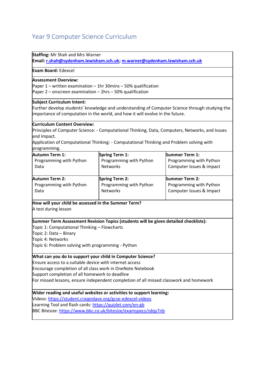# <span id="page-43-0"></span>Year 9 Computer Science Curriculum

**Staffing:** Mr Shah and Mrs Warner

**Email[: r.shah@sydenham.lewisham.sch.uk;](mailto:r.shah@sydenham.lewisham.sch.uk) [m.warner@sydenham.lewisham.sch.uk](mailto:m.warner@sydenham.lewisham.sch.uk)**

**Exam Board:** Edexcel

#### **Assessment Overview:**

Paper 1 – written examination – 1hr 30mins – 50% qualification

Paper 2 – onscreen examination – 2hrs – 50% qualification

#### **Subject Curriculum Intent:**

Further develop students' knowledge and understanding of Computer Science through studying the importance of computation in the world, and how it will evolve in the future.

#### **Curriculum Content Overview:**

Principles of Computer Science: - Computational Thinking, Data, Computers, Networks, and Issues and Impact.

Application of Computational Thinking: - Computational Thinking and Problem solving with programming.

| Autumn Term 1:          | <b>Spring Term 1:</b>   | <b>Summer Term 1:</b>    |
|-------------------------|-------------------------|--------------------------|
| Programming with Python | Programming with Python | Programming with Python  |
| Data                    | <b>Networks</b>         | Computer Issues & impact |
| Autumn Term 2:          | Spring Term 2:          | <b>Summer Term 2:</b>    |
| Programming with Python | Programming with Python | Programming with Python  |
| Data                    | <b>Networks</b>         | Computer Issues & Impact |

**How will your child be assessed in the Summer Term?**

A test during lesson

**Summer Term Assessment Revision Topics (students will be given detailed checklists):**

Topic 1: Computational Thinking – Flowcharts

Topic 2: Data – Binary

Topic 4: Networks

Topic 6: Problem solving with programming - Python

#### **What can you do to support your child in Computer Science?**

Ensure access to a suitable device with internet access

Encourage completion of all class work in OneNote Notebook

Support completion of all homework to deadline

For missed lessons, ensure independent completion of all missed classwork and homework

#### **Wider reading and useful websites or activities to support learning:**

Videos:<https://student.craigndave.org/gcse-edexcel-videos>

Learning Tool and flash cards:<https://quizlet.com/en-gb>

BBC Bitesize:<https://www.bbc.co.uk/bitesize/examspecs/zdqy7nb>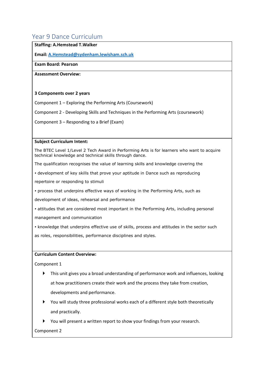# <span id="page-44-0"></span>Year 9 Dance Curriculum

### **Staffing: A.Hemstead T.Walker**

**Email[: A.Hemstead@sydenham.lewisham.sch.uk](mailto:A.Hemstead@sydenham.lewisham.sch.uk)**

### **Exam Board: Pearson**

**Assessment Overview:**

### **3 Components over 2 years**

Component 1 – Exploring the Performing Arts (Coursework)

Component 2 - Developing Skills and Techniques in the Performing Arts (coursework)

Component 3 – Responding to a Brief (Exam)

#### **Subject Curriculum Intent:**

The BTEC Level 1/Level 2 Tech Award in Performing Arts is for learners who want to acquire technical knowledge and technical skills through dance.

The qualification recognises the value of learning skills and knowledge covering the

• development of key skills that prove your aptitude in Dance such as reproducing

repertoire or responding to stimuli

• process that underpins effective ways of working in the Performing Arts, such as

development of ideas, rehearsal and performance

• attitudes that are considered most important in the Performing Arts, including personal

management and communication

• knowledge that underpins effective use of skills, process and attitudes in the sector such

as roles, responsibilities, performance disciplines and styles.

### **Curriculum Content Overview:**

Component 1

- This unit gives you a broad understanding of performance work and influences, looking at how practitioners create their work and the process they take from creation, developments and performance.
- You will study three professional works each of a different style both theoretically and practically.
- You will present a written report to show your findings from your research.

Component 2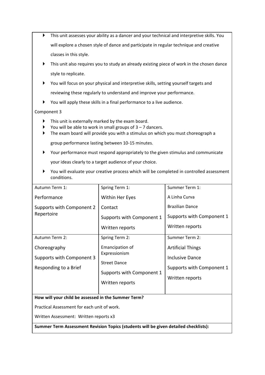- This unit assesses your ability as a dancer and your technical and interpretive skills. You will explore a chosen style of dance and participate in regular technique and creative classes in this style.
- This unit also requires you to study an already existing piece of work in the chosen dance style to replicate.
- You will focus on your physical and interpretive skills, setting yourself targets and reviewing these regularly to understand and improve your performance.
- You will apply these skills in a final performance to a live audience.

### Component 3

- This unit is externally marked by the exam board.
- You will be able to work in small groups of  $3 7$  dancers.
- The exam board will provide you with a stimulus on which you must choreograph a group performance lasting between 10-15 minutes.
- Your performance must respond appropriately to the given stimulus and communicate

your ideas clearly to a target audience of your choice.

 You will evaluate your creative process which will be completed in controlled assessment conditions.

| Autumn Term 1:                                      | Spring Term 1:                       | Summer Term 1:            |  |  |
|-----------------------------------------------------|--------------------------------------|---------------------------|--|--|
| Performance                                         | Within Her Eyes                      | A Linha Curva             |  |  |
| Supports with Component 2<br>Repertoire             | Contact                              | <b>Brazilian Dance</b>    |  |  |
|                                                     | Supports with Component 1            | Supports with Component 1 |  |  |
|                                                     | Written reports                      | Written reports           |  |  |
| <b>Autumn Term 2:</b>                               | Spring Term 2:                       | Summer Term 2:            |  |  |
| Choreography                                        | Emancipation of                      | <b>Artificial Things</b>  |  |  |
| Supports with Component 3                           | Expressionism<br><b>Street Dance</b> | Inclusive Dance           |  |  |
| Responding to a Brief                               |                                      | Supports with Component 1 |  |  |
|                                                     | Supports with Component 1            | Written reports           |  |  |
|                                                     | Written reports                      |                           |  |  |
|                                                     |                                      |                           |  |  |
| How will your child be assessed in the Summer Term? |                                      |                           |  |  |
| Practical Assessment for each unit of work.         |                                      |                           |  |  |

Written Assessment: Written reports x3

**Summer Term Assessment Revision Topics (students will be given detailed checklists):**